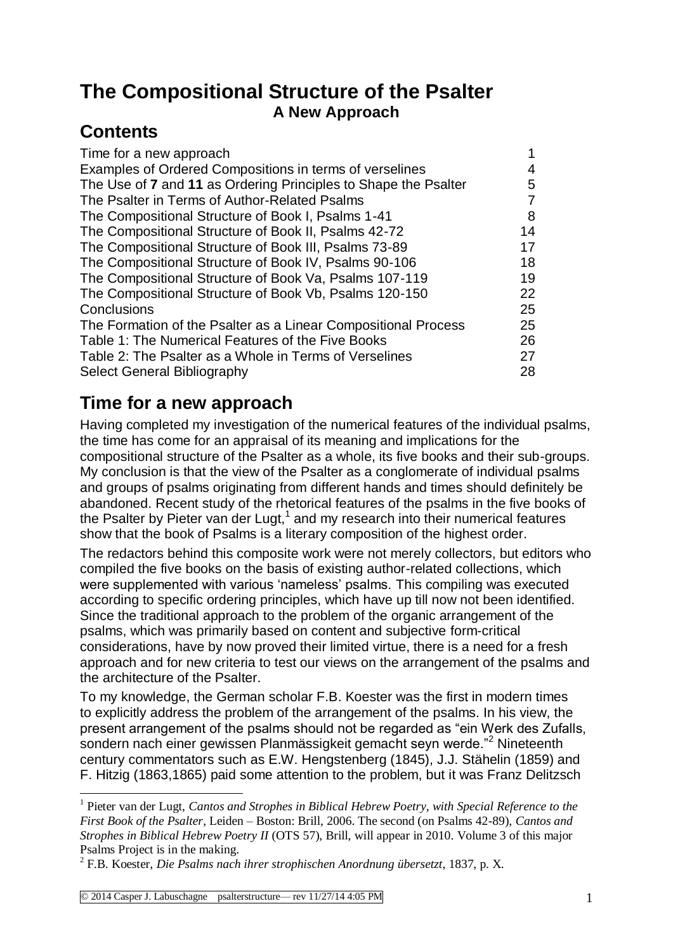# **The Compositional Structure of the Psalter A New Approach**

# **Contents**

<u>.</u>

| Time for a new approach                                         |    |
|-----------------------------------------------------------------|----|
| Examples of Ordered Compositions in terms of verselines         | 4  |
| The Use of 7 and 11 as Ordering Principles to Shape the Psalter | 5  |
| The Psalter in Terms of Author-Related Psalms                   | 7  |
| The Compositional Structure of Book I, Psalms 1-41              | 8  |
| The Compositional Structure of Book II, Psalms 42-72            | 14 |
| The Compositional Structure of Book III, Psalms 73-89           | 17 |
| The Compositional Structure of Book IV, Psalms 90-106           | 18 |
| The Compositional Structure of Book Va, Psalms 107-119          | 19 |
| The Compositional Structure of Book Vb, Psalms 120-150          | 22 |
| Conclusions                                                     | 25 |
| The Formation of the Psalter as a Linear Compositional Process  | 25 |
| Table 1: The Numerical Features of the Five Books               | 26 |
| Table 2: The Psalter as a Whole in Terms of Verselines          | 27 |
| Select General Bibliography                                     | 28 |
|                                                                 |    |

# **Time for a new approach**

Having completed my investigation of the numerical features of the individual psalms, the time has come for an appraisal of its meaning and implications for the compositional structure of the Psalter as a whole, its five books and their sub-groups. My conclusion is that the view of the Psalter as a conglomerate of individual psalms and groups of psalms originating from different hands and times should definitely be abandoned. Recent study of the rhetorical features of the psalms in the five books of the Psalter by Pieter van der Lugt, $1$  and my research into their numerical features show that the book of Psalms is a literary composition of the highest order.

The redactors behind this composite work were not merely collectors, but editors who compiled the five books on the basis of existing author-related collections, which were supplemented with various 'nameless' psalms. This compiling was executed according to specific ordering principles, which have up till now not been identified. Since the traditional approach to the problem of the organic arrangement of the psalms, which was primarily based on content and subjective form-critical considerations, have by now proved their limited virtue, there is a need for a fresh approach and for new criteria to test our views on the arrangement of the psalms and the architecture of the Psalter.

To my knowledge, the German scholar F.B. Koester was the first in modern times to explicitly address the problem of the arrangement of the psalms. In his view, the present arrangement of the psalms should not be regarded as "ein Werk des Zufalls, sondern nach einer gewissen Planmässigkeit gemacht seyn werde."<sup>2</sup> Nineteenth century commentators such as E.W. Hengstenberg (1845), J.J. Stähelin (1859) and F. Hitzig (1863,1865) paid some attention to the problem, but it was Franz Delitzsch

<sup>&</sup>lt;sup>1</sup> Pieter van der Lugt, *Cantos and Strophes in Biblical Hebrew Poetry, with Special Reference to the First Book of the Psalter*, Leiden – Boston: Brill, 2006. The second (on Psalms 42-89), *Cantos and Strophes in Biblical Hebrew Poetry II* (OTS 57), Brill, will appear in 2010. Volume 3 of this major Psalms Project is in the making.

<sup>2</sup> F.B. Koester, *Die Psalms nach ihrer strophischen Anordnung übersetzt*, 1837, p. X.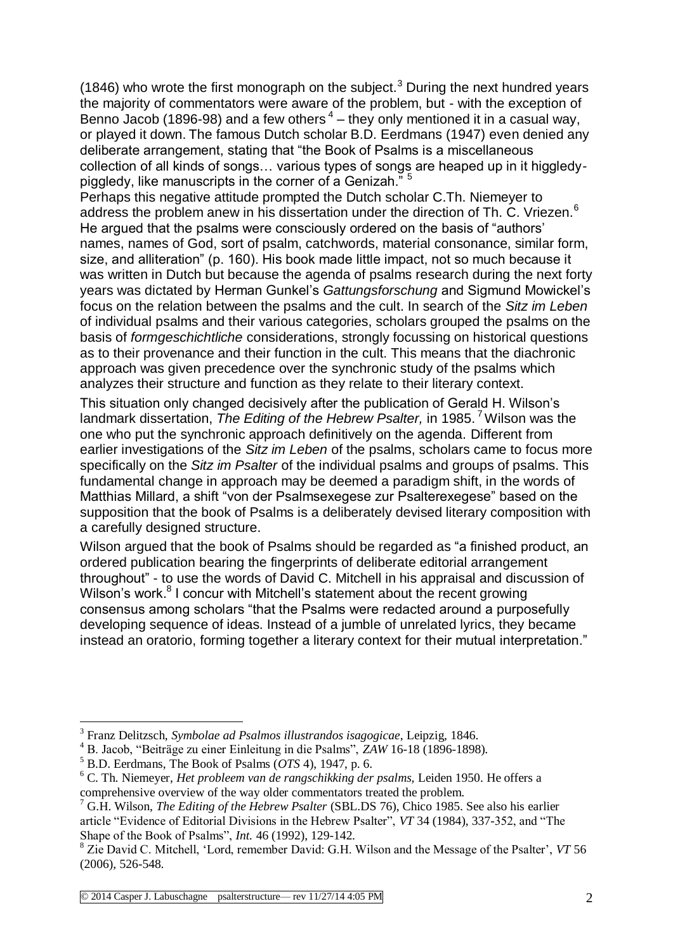(1846) who wrote the first monograph on the subject.<sup>3</sup> During the next hundred years the majority of commentators were aware of the problem, but - with the exception of Benno Jacob (1896-98) and a few others  $4$  – they only mentioned it in a casual way, or played it down. The famous Dutch scholar B.D. Eerdmans (1947) even denied any deliberate arrangement, stating that "the Book of Psalms is a miscellaneous collection of all kinds of songs… various types of songs are heaped up in it higgledypiggledy, like manuscripts in the corner of a Genizah." <sup>5</sup>

Perhaps this negative attitude prompted the Dutch scholar C.Th. Niemeyer to address the problem anew in his dissertation under the direction of Th. C. Vriezen.<sup>6</sup> He argued that the psalms were consciously ordered on the basis of "authors' names, names of God, sort of psalm, catchwords, material consonance, similar form, size, and alliteration" (p. 160). His book made little impact, not so much because it was written in Dutch but because the agenda of psalms research during the next forty years was dictated by Herman Gunkel's *Gattungsforschung* and Sigmund Mowickel's focus on the relation between the psalms and the cult. In search of the *Sitz im Leben* of individual psalms and their various categories, scholars grouped the psalms on the basis of *formgeschichtliche* considerations, strongly focussing on historical questions as to their provenance and their function in the cult. This means that the diachronic approach was given precedence over the synchronic study of the psalms which analyzes their structure and function as they relate to their literary context.

This situation only changed decisively after the publication of Gerald H. Wilson's landmark dissertation, *The Editing of the Hebrew Psalter*, in 1985.<sup>7</sup> Wilson was the one who put the synchronic approach definitively on the agenda. Different from earlier investigations of the *Sitz im Leben* of the psalms, scholars came to focus more specifically on the *Sitz im Psalter* of the individual psalms and groups of psalms. This fundamental change in approach may be deemed a paradigm shift, in the words of Matthias Millard, a shift "von der Psalmsexegese zur Psalterexegese" based on the supposition that the book of Psalms is a deliberately devised literary composition with a carefully designed structure.

Wilson argued that the book of Psalms should be regarded as "a finished product, an ordered publication bearing the fingerprints of deliberate editorial arrangement throughout" - to use the words of David C. Mitchell in his appraisal and discussion of Wilson's work.<sup>8</sup> I concur with Mitchell's statement about the recent growing consensus among scholars "that the Psalms were redacted around a purposefully developing sequence of ideas. Instead of a jumble of unrelated lyrics, they became instead an oratorio, forming together a literary context for their mutual interpretation."

<sup>&</sup>lt;u>.</u> 3 Franz Delitzsch, *Symbolae ad Psalmos illustrandos isagogicae*, Leipzig, 1846.

<sup>4</sup> B. Jacob, "Beiträge zu einer Einleitung in die Psalms", *ZAW* 16-18 (1896-1898).

<sup>5</sup> B.D. Eerdmans, The Book of Psalms (*OTS* 4), 1947, p. 6.

<sup>6</sup> C. Th. Niemeyer, *Het probleem van de rangschikking der psalms,* Leiden 1950. He offers a comprehensive overview of the way older commentators treated the problem.

<sup>7</sup> G.H. Wilson, *The Editing of the Hebrew Psalter* (SBL.DS 76), Chico 1985. See also his earlier article "Evidence of Editorial Divisions in the Hebrew Psalter", *VT* 34 (1984), 337-352, and "The Shape of the Book of Psalms", *Int.* 46 (1992), 129-142.

<sup>8</sup> Zie David C. Mitchell, 'Lord, remember David: G.H. Wilson and the Message of the Psalter', *VT* 56 (2006), 526-548.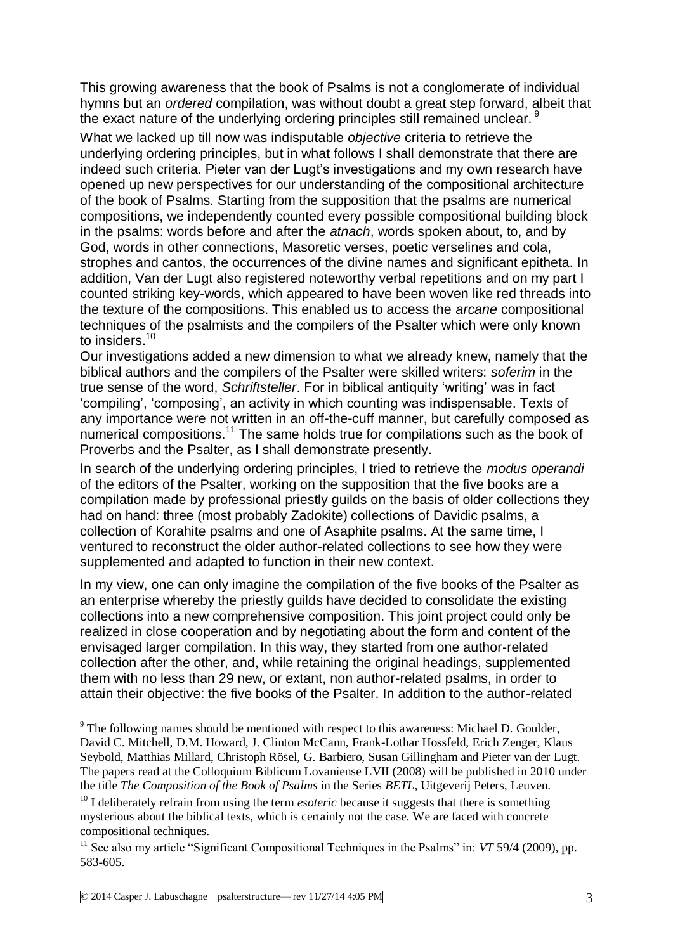This growing awareness that the book of Psalms is not a conglomerate of individual hymns but an *ordered* compilation, was without doubt a great step forward, albeit that the exact nature of the underlying ordering principles still remained unclear.<sup>9</sup>

What we lacked up till now was indisputable *objective* criteria to retrieve the underlying ordering principles, but in what follows I shall demonstrate that there are indeed such criteria. Pieter van der Lugt's investigations and my own research have opened up new perspectives for our understanding of the compositional architecture of the book of Psalms. Starting from the supposition that the psalms are numerical compositions, we independently counted every possible compositional building block in the psalms: words before and after the *atnach*, words spoken about, to, and by God, words in other connections, Masoretic verses, poetic verselines and cola, strophes and cantos, the occurrences of the divine names and significant epitheta. In addition, Van der Lugt also registered noteworthy verbal repetitions and on my part I counted striking key-words, which appeared to have been woven like red threads into the texture of the compositions. This enabled us to access the *arcane* compositional techniques of the psalmists and the compilers of the Psalter which were only known to insiders.<sup>10</sup>

Our investigations added a new dimension to what we already knew, namely that the biblical authors and the compilers of the Psalter were skilled writers: *soferim* in the true sense of the word, *Schriftsteller*. For in biblical antiquity 'writing' was in fact 'compiling', 'composing', an activity in which counting was indispensable. Texts of any importance were not written in an off-the-cuff manner, but carefully composed as numerical compositions.<sup>11</sup> The same holds true for compilations such as the book of Proverbs and the Psalter, as I shall demonstrate presently.

In search of the underlying ordering principles, I tried to retrieve the *modus operandi* of the editors of the Psalter, working on the supposition that the five books are a compilation made by professional priestly guilds on the basis of older collections they had on hand: three (most probably Zadokite) collections of Davidic psalms, a collection of Korahite psalms and one of Asaphite psalms. At the same time, I ventured to reconstruct the older author-related collections to see how they were supplemented and adapted to function in their new context.

In my view, one can only imagine the compilation of the five books of the Psalter as an enterprise whereby the priestly guilds have decided to consolidate the existing collections into a new comprehensive composition. This joint project could only be realized in close cooperation and by negotiating about the form and content of the envisaged larger compilation. In this way, they started from one author-related collection after the other, and, while retaining the original headings, supplemented them with no less than 29 new, or extant, non author-related psalms, in order to attain their objective: the five books of the Psalter. In addition to the author-related

 $9<sup>9</sup>$  The following names should be mentioned with respect to this awareness: Michael D. Goulder, David C. Mitchell, D.M. Howard, J. Clinton McCann, Frank-Lothar Hossfeld, Erich Zenger, Klaus Seybold, Matthias Millard, Christoph Rösel, G. Barbiero, Susan Gillingham and Pieter van der Lugt. The papers read at the Colloquium Biblicum Lovaniense LVII (2008) will be published in 2010 under the title *The Composition of the Book of Psalms* in the Series *BETL*, Uitgeverij Peters, Leuven.

<sup>&</sup>lt;sup>10</sup> I deliberately refrain from using the term *esoteric* because it suggests that there is something mysterious about the biblical texts, which is certainly not the case. We are faced with concrete compositional techniques.

<sup>&</sup>lt;sup>11</sup> See also my article "Significant Compositional Techniques in the Psalms" in: *VT* 59/4 (2009), pp. 583-605.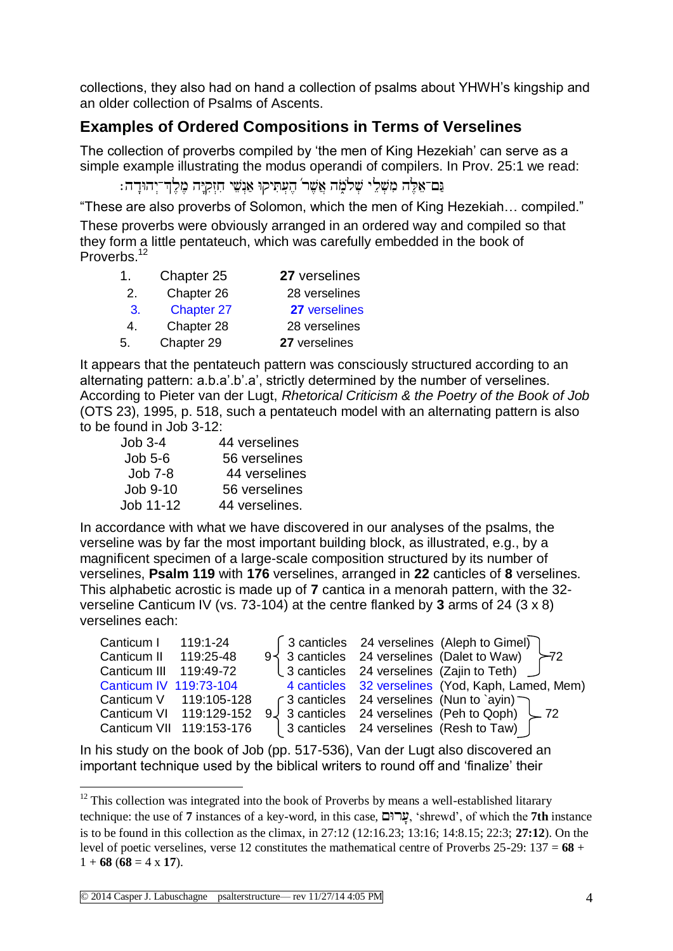collections, they also had on hand a collection of psalms about YHWH's kingship and an older collection of Psalms of Ascents.

## **Examples of Ordered Compositions in Terms of Verselines**

The collection of proverbs compiled by 'the men of King Hezekiah' can serve as a simple example illustrating the modus operandi of compilers. In Prov. 25:1 we read:

```
ַּנְם־אֶלֶה מִשָּׁלֵי שָׁלֹמֹה אֲשֶׁר´ הֵעְתִּיִקוּ אֲנִשֵׁי חַזְקִיֶּה מֵלֵדְ־יְהוּדַה:
```
"These are also proverbs of Solomon, which the men of King Hezekiah… compiled." These proverbs were obviously arranged in an ordered way and compiled so that they form a little pentateuch, which was carefully embedded in the book of Proverbs.<sup>12</sup>

| 1. | Chapter 25        | 27 verselines |
|----|-------------------|---------------|
| 2. | Chapter 26        | 28 verselines |
| 3. | <b>Chapter 27</b> | 27 verselines |
| 4. | Chapter 28        | 28 verselines |
| 5. | Chapter 29        | 27 verselines |

It appears that the pentateuch pattern was consciously structured according to an alternating pattern: a.b.a'.b'.a', strictly determined by the number of verselines. According to Pieter van der Lugt, *Rhetorical Criticism & the Poetry of the Book of Job* (OTS 23), 1995, p. 518, such a pentateuch model with an alternating pattern is also to be found in Job 3-12:

| $Job 3-4$ | 44 verselines  |
|-----------|----------------|
| $Job 5-6$ | 56 verselines  |
| Job 7-8   | 44 verselines  |
| Job 9-10  | 56 verselines  |
| Job 11-12 | 44 verselines. |

In accordance with what we have discovered in our analyses of the psalms, the verseline was by far the most important building block, as illustrated, e.g., by a magnificent specimen of a large-scale composition structured by its number of verselines, **Psalm 119** with **176** verselines, arranged in **22** canticles of **8** verselines. This alphabetic acrostic is made up of **7** cantica in a menorah pattern, with the 32 verseline Canticum IV (vs. 73-104) at the centre flanked by **3** arms of 24 (3 x 8) verselines each:

| Canticum I 119:1-24    |                          |  | [3 canticles 24 verselines (Aleph to Gimel)                            |
|------------------------|--------------------------|--|------------------------------------------------------------------------|
| Canticum II 119:25-48  |                          |  | 9 $\frac{3}{2}$ 3 canticles 24 verselines (Dalet to Waw) $\frac{1}{2}$ |
| Canticum III 119:49-72 |                          |  | $\downarrow$ 3 canticles 24 verselines (Zajin to Teth) $\downarrow$    |
| Canticum IV 119:73-104 |                          |  | 4 canticles 32 verselines (Yod, Kaph, Lamed, Mem)                      |
|                        | Canticum V 119:105-128   |  | $\int$ 3 canticles 24 verselines (Nun to `ayin)                        |
|                        | Canticum VI 119:129-152  |  | 9 $\downarrow$ 3 canticles 24 verselines (Peh to Qoph) $\downarrow$ 72 |
|                        | Canticum VII 119:153-176 |  | 3 canticles 24 verselines (Resh to Taw)                                |

In his study on the book of Job (pp. 517-536), Van der Lugt also discovered an important technique used by the biblical writers to round off and 'finalize' their

<sup>1</sup>  $12$  This collection was integrated into the book of Proverbs by means a well-established litarary technique: the use of **7** instances of a key-word, in this case,  $\Box$ ערום, 'shrewd', of which the **7th** instance is to be found in this collection as the climax, in 27:12 (12:16.23; 13:16; 14:8.15; 22:3; **27:12**). On the level of poetic verselines, verse 12 constitutes the mathematical centre of Proverbs 25-29: 137 = **68** +  $1 + 68 (68 = 4 \times 17)$ .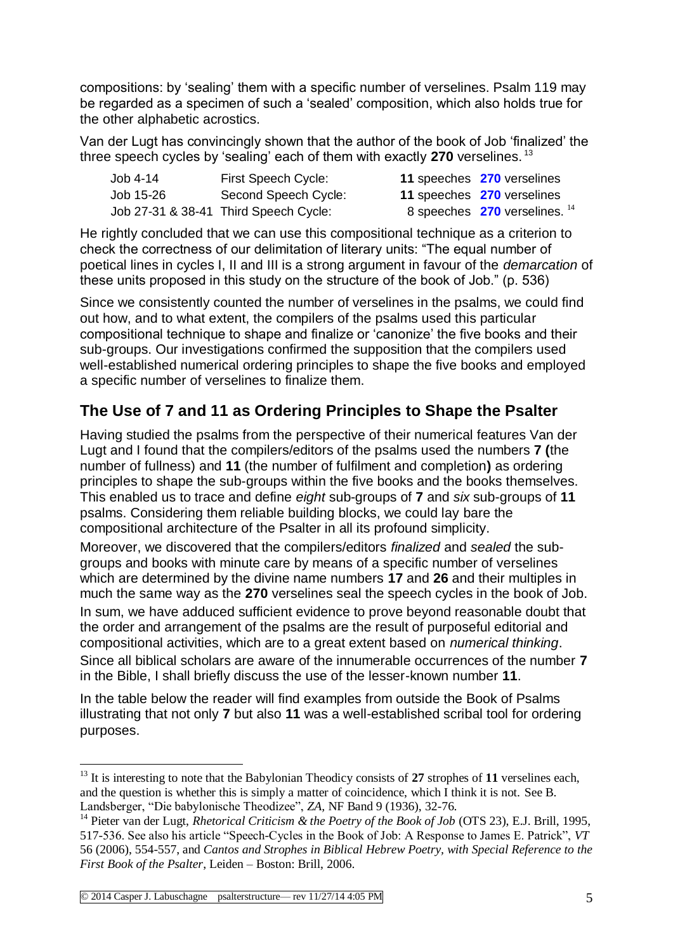compositions: by 'sealing' them with a specific number of verselines. Psalm 119 may be regarded as a specimen of such a 'sealed' composition, which also holds true for the other alphabetic acrostics.

Van der Lugt has convincingly shown that the author of the book of Job 'finalized' the three speech cycles by 'sealing' each of them with exactly **270** verselines. <sup>13</sup>

| Job 4-14  | First Speech Cycle:                    |
|-----------|----------------------------------------|
| Job 15-26 | Second Speech Cycle:                   |
|           | Job 27-31 & 38-41  Third Speech Cycle: |

- 11 speeches 270 verselines
- 11 speeches **270** verselines
- 
- 8 speeches **270** verselines. <sup>14</sup>

He rightly concluded that we can use this compositional technique as a criterion to check the correctness of our delimitation of literary units: "The equal number of poetical lines in cycles I, II and III is a strong argument in favour of the *demarcation* of these units proposed in this study on the structure of the book of Job." (p. 536)

Since we consistently counted the number of verselines in the psalms, we could find out how, and to what extent, the compilers of the psalms used this particular compositional technique to shape and finalize or 'canonize' the five books and their sub-groups. Our investigations confirmed the supposition that the compilers used well-established numerical ordering principles to shape the five books and employed a specific number of verselines to finalize them.

## **The Use of 7 and 11 as Ordering Principles to Shape the Psalter**

Having studied the psalms from the perspective of their numerical features Van der Lugt and I found that the compilers/editors of the psalms used the numbers **7 (**the number of fullness) and **11** (the number of fulfilment and completion**)** as ordering principles to shape the sub-groups within the five books and the books themselves. This enabled us to trace and define *eight* sub-groups of **7** and *six* sub-groups of **11** psalms. Considering them reliable building blocks, we could lay bare the compositional architecture of the Psalter in all its profound simplicity.

Moreover, we discovered that the compilers/editors *finalized* and *sealed* the subgroups and books with minute care by means of a specific number of verselines which are determined by the divine name numbers **17** and **26** and their multiples in much the same way as the **270** verselines seal the speech cycles in the book of Job. In sum, we have adduced sufficient evidence to prove beyond reasonable doubt that the order and arrangement of the psalms are the result of purposeful editorial and compositional activities, which are to a great extent based on *numerical thinking*. Since all biblical scholars are aware of the innumerable occurrences of the number **7** in the Bible, I shall briefly discuss the use of the lesser-known number **11**.

In the table below the reader will find examples from outside the Book of Psalms illustrating that not only **7** but also **11** was a well-established scribal tool for ordering purposes.

<sup>&</sup>lt;sup>13</sup> It is interesting to note that the Babylonian Theodicy consists of 27 strophes of 11 verselines each, and the question is whether this is simply a matter of coincidence, which  $\overline{I}$  think it is not. See B. Landsberger, "Die babylonische Theodizee", *ZA,* NF Band 9 (1936), 32-76.

<sup>14</sup> Pieter van der Lugt, *Rhetorical Criticism & the Poetry of the Book of Job* (OTS 23), E.J. Brill, 1995, 517-536. See also his article "Speech-Cycles in the Book of Job: A Response to James E. Patrick", *VT* 56 (2006), 554-557, and *Cantos and Strophes in Biblical Hebrew Poetry, with Special Reference to the First Book of the Psalter*, Leiden – Boston: Brill, 2006.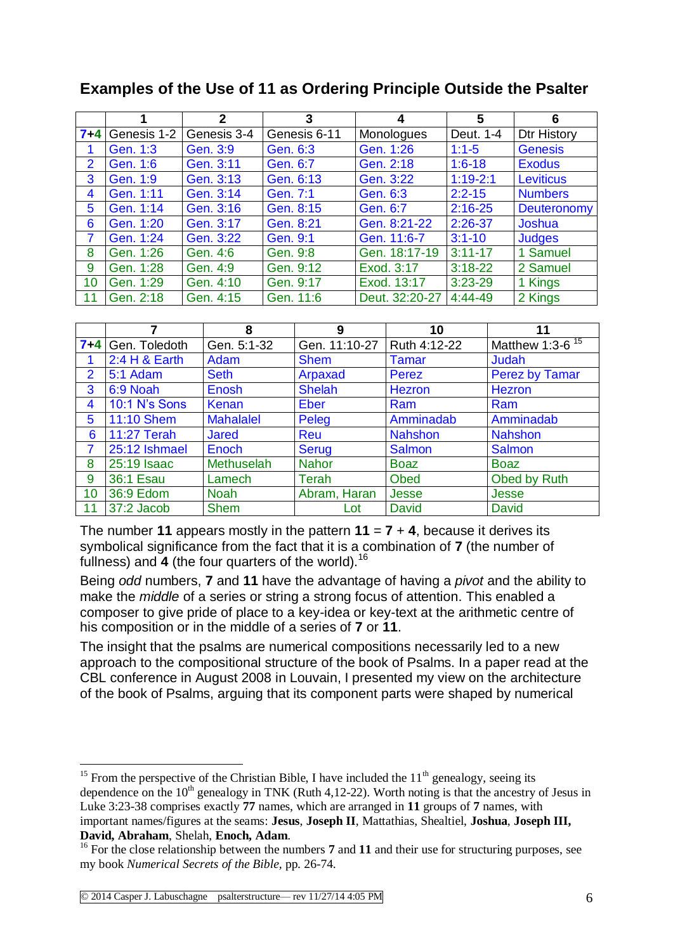|                |             | $\overline{2}$ | 3            | 4              | 5           | 6                  |
|----------------|-------------|----------------|--------------|----------------|-------------|--------------------|
| $7 + 4$        | Genesis 1-2 | Genesis 3-4    | Genesis 6-11 | Monologues     | Deut. 1-4   | <b>Dtr History</b> |
|                | Gen. 1:3    | Gen. 3:9       | Gen. 6:3     | Gen. 1:26      | $1:1 - 5$   | <b>Genesis</b>     |
| $\overline{2}$ | Gen. 1:6    | Gen. 3:11      | Gen. 6:7     | Gen. 2:18      | $1:6 - 18$  | <b>Exodus</b>      |
| 3              | Gen. 1:9    | Gen. 3:13      | Gen. 6:13    | Gen. 3:22      | $1:19-2:1$  | Leviticus          |
| 4              | Gen. 1:11   | Gen. 3:14      | Gen. 7:1     | Gen. 6:3       | $2:2 - 15$  | <b>Numbers</b>     |
| 5              | Gen. 1:14   | Gen. 3:16      | Gen. 8:15    | Gen. 6:7       | $2:16-25$   | Deuteronomy        |
| 6              | Gen. 1:20   | Gen. 3:17      | Gen. 8:21    | Gen. 8:21-22   | $2:26-37$   | Joshua             |
| $\overline{7}$ | Gen. 1:24   | Gen. 3:22      | Gen. 9:1     | Gen. 11:6-7    | $3:1 - 10$  | <b>Judges</b>      |
| 8              | Gen. 1:26   | Gen. 4:6       | Gen. 9:8     | Gen. 18:17-19  | $3:11 - 17$ | 1 Samuel           |
| 9              | Gen. 1:28   | Gen. 4:9       | Gen. 9:12    | Exod. 3:17     | $3:18-22$   | 2 Samuel           |
| 10             | Gen. 1:29   | Gen. 4:10      | Gen. 9:17    | Exod. 13:17    | $3:23-29$   | 1 Kings            |
| 11             | Gen. 2:18   | Gen. 4:15      | Gen. 11:6    | Deut. 32:20-27 | 4:44-49     | 2 Kings            |

### **Examples of the Use of 11 as Ordering Principle Outside the Psalter**

|                |               | 8                 | 9             | 10             | 11                    |
|----------------|---------------|-------------------|---------------|----------------|-----------------------|
| $7 + 4$        | Gen. Toledoth | Gen. 5:1-32       | Gen. 11:10-27 | Ruth 4:12-22   | Matthew 1:3- $6^{15}$ |
|                | 2:4 H & Earth | Adam              | <b>Shem</b>   | <b>Tamar</b>   | Judah                 |
| $\overline{2}$ | 5:1 Adam      | <b>Seth</b>       | Arpaxad       | Perez          | <b>Perez by Tamar</b> |
| 3              | 6:9 Noah      | <b>Enosh</b>      | <b>Shelah</b> | Hezron         | Hezron                |
| 4              | 10:1 N's Sons | Kenan             | <b>Eber</b>   | Ram            | Ram                   |
| 5              | 11:10 Shem    | <b>Mahalalel</b>  | Peleg         | Amminadab      | Amminadab             |
| 6              | 11:27 Terah   | <b>Jared</b>      | Reu           | <b>Nahshon</b> | <b>Nahshon</b>        |
| 7              | 25:12 Ishmael | Enoch             | Serug         | <b>Salmon</b>  | <b>Salmon</b>         |
| 8              | 25:19 Isaac   | <b>Methuselah</b> | <b>Nahor</b>  | <b>Boaz</b>    | <b>Boaz</b>           |
| 9              | 36:1 Esau     | Lamech            | Terah         | <b>Obed</b>    | Obed by Ruth          |
| 10             | 36:9 Edom     | <b>Noah</b>       | Abram, Haran  | <b>Jesse</b>   | Jesse                 |
| 11             | 37:2 Jacob    | <b>Shem</b>       | Lot           | <b>David</b>   | <b>David</b>          |

The number **11** appears mostly in the pattern  $11 = 7 + 4$ , because it derives its symbolical significance from the fact that it is a combination of **7** (the number of fullness) and **4** (the four quarters of the world).<sup>16</sup>

Being *odd* numbers, **7** and **11** have the advantage of having a *pivot* and the ability to make the *middle* of a series or string a strong focus of attention. This enabled a composer to give pride of place to a key-idea or key-text at the arithmetic centre of his composition or in the middle of a series of **7** or **11**.

The insight that the psalms are numerical compositions necessarily led to a new approach to the compositional structure of the book of Psalms. In a paper read at the CBL conference in August 2008 in Louvain, I presented my view on the architecture of the book of Psalms, arguing that its component parts were shaped by numerical

<sup>&</sup>lt;sup>15</sup> From the perspective of the Christian Bible, I have included the  $11<sup>th</sup>$  genealogy, seeing its dependence on the  $10<sup>th</sup>$  genealogy in TNK (Ruth 4,12-22). Worth noting is that the ancestry of Jesus in Luke 3:23-38 comprises exactly **77** names, which are arranged in **11** groups of **7** names, with important names/figures at the seams: **Jesus**, **Joseph II**, Mattathias, Shealtiel, **Joshua**, **Joseph III, David, Abraham**, Shelah, **Enoch, Adam**.

<sup>&</sup>lt;sup>16</sup> For the close relationship between the numbers **7** and **11** and their use for structuring purposes, see my book *Numerical Secrets of the Bible,* pp. 26-74.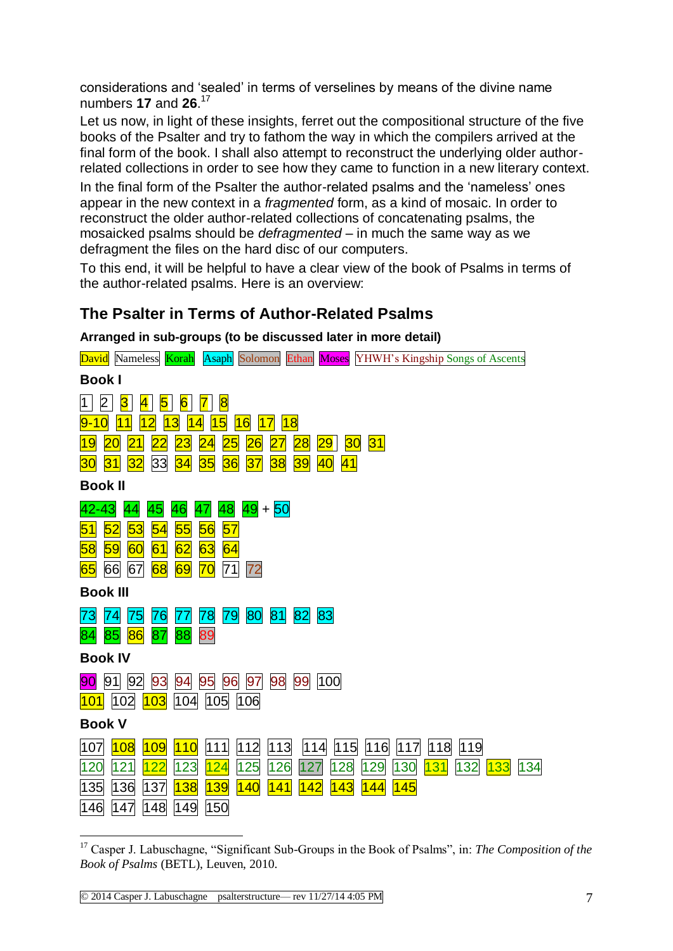considerations and 'sealed' in terms of verselines by means of the divine name numbers **17** and **26**. 17

Let us now, in light of these insights, ferret out the compositional structure of the five books of the Psalter and try to fathom the way in which the compilers arrived at the final form of the book. I shall also attempt to reconstruct the underlying older authorrelated collections in order to see how they came to function in a new literary context.

In the final form of the Psalter the author-related psalms and the 'nameless' ones appear in the new context in a *fragmented* form, as a kind of mosaic. In order to reconstruct the older author-related collections of concatenating psalms, the mosaicked psalms should be *defragmented* – in much the same way as we defragment the files on the hard disc of our computers.

To this end, it will be helpful to have a clear view of the book of Psalms in terms of the author-related psalms. Here is an overview:

### **The Psalter in Terms of Author-Related Psalms**

**Arranged in sub-groups (to be discussed later in more detail)**

| Asaph Solomon Ethan Moses YHWH's Kingship Songs of Ascents<br><b>David</b> Nameless <b>Korah</b>                                                 |
|--------------------------------------------------------------------------------------------------------------------------------------------------|
| <b>Book I</b>                                                                                                                                    |
| 2<br>$\overline{\mathbf{8}}$<br>$\overline{\mathbf{A}}$<br>5<br>$\overline{6}$<br>$\overline{\mathbf{7}}$ l<br>3<br>1                            |
| 5<br> 18 <br>16<br><u> 17</u><br>0<br>3<br>9-                                                                                                    |
| $\overline{\bf 28}$<br>30<br> 31 <br><mark>19</mark><br>29<br>20<br>21<br>2<br>25<br>27<br>23<br>26                                              |
| 36<br>33<br>35<br>38<br>39<br>40<br> 41 <br><mark>34</mark><br>37<br>31<br><mark>32</mark><br>30                                                 |
| <b>Book II</b>                                                                                                                                   |
| $ 49  +  50 $<br>48<br>42-43<br>46<br>47<br>44<br>45                                                                                             |
| 57<br>53<br>56<br>52<br>54<br>55<br>51                                                                                                           |
| 63<br>64<br>58<br>59<br>62<br>60<br>61                                                                                                           |
| $\overline{70}$<br>71<br>72<br>66<br>68<br>69<br>67<br>65                                                                                        |
| <b>Book III</b>                                                                                                                                  |
| 80<br>79<br>81<br>83<br>78<br> 82 <br>73<br>74<br>75<br>76<br>77                                                                                 |
| 88<br>85<br>86<br>87<br>89<br>84                                                                                                                 |
| <b>Book IV</b>                                                                                                                                   |
| 99<br>100<br>98<br>97<br>93<br>95<br>96<br>91<br>92<br>94<br>90                                                                                  |
| 103<br>104<br>105<br>106<br>102<br>101                                                                                                           |
| <b>Book V</b>                                                                                                                                    |
| 111<br>112<br>113<br>115<br>116<br> 117 <br>118<br>119<br>107<br>108<br>110<br> 114 <br><mark>109</mark>                                         |
| 124<br>120<br>121<br><u> 122</u><br>125<br>126<br>128<br>129<br>130<br>132<br><b>133</b><br>134<br>123<br>127<br><b>131</b>                      |
| <mark>139</mark><br><mark>141</mark><br>135<br>136<br>137<br><b>138</b><br> 140 <br>142<br>143<br>145<br>144<br>150<br>148<br> 149<br>146<br>147 |
|                                                                                                                                                  |

<sup>&</sup>lt;u>.</u> <sup>17</sup> Casper J. Labuschagne, "Significant Sub-Groups in the Book of Psalms", in: *The Composition of the Book of Psalms* (BETL), Leuven, 2010.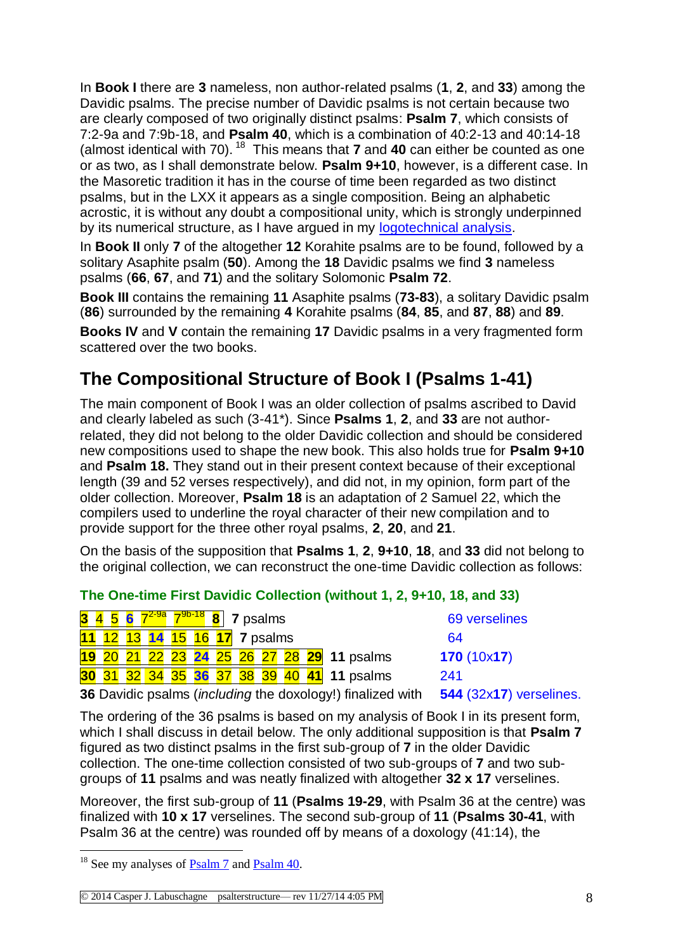In **Book I** there are **3** nameless, non author-related psalms (**1**, **2**, and **33**) among the Davidic psalms. The precise number of Davidic psalms is not certain because two are clearly composed of two originally distinct psalms: **Psalm 7**, which consists of 7:2-9a and 7:9b-18, and **Psalm 40**, which is a combination of 40:2-13 and 40:14-18 (almost identical with 70). <sup>18</sup> This means that **7** and **40** can either be counted as one or as two, as I shall demonstrate below. **Psalm 9+10**, however, is a different case. In the Masoretic tradition it has in the course of time been regarded as two distinct psalms, but in the LXX it appears as a single composition. Being an alphabetic acrostic, it is without any doubt a compositional unity, which is strongly underpinned by its numerical structure, as I have argued in my [logotechnical analysis.](http://www.labuschagne.nl/ps009-10.pdf)

In **Book II** only **7** of the altogether **12** Korahite psalms are to be found, followed by a solitary Asaphite psalm (**50**). Among the **18** Davidic psalms we find **3** nameless psalms (**66**, **67**, and **71**) and the solitary Solomonic **Psalm 72**.

**Book III** contains the remaining **11** Asaphite psalms (**73-83**), a solitary Davidic psalm (**86**) surrounded by the remaining **4** Korahite psalms (**84**, **85**, and **87**, **88**) and **89**.

**Books IV** and **V** contain the remaining **17** Davidic psalms in a very fragmented form scattered over the two books.

# **The Compositional Structure of Book I (Psalms 1-41)**

The main component of Book I was an older collection of psalms ascribed to David and clearly labeled as such (3-41\*). Since **Psalms 1**, **2**, and **33** are not authorrelated, they did not belong to the older Davidic collection and should be considered new compositions used to shape the new book. This also holds true for **Psalm 9+10** and **Psalm 18.** They stand out in their present context because of their exceptional length (39 and 52 verses respectively), and did not, in my opinion, form part of the older collection. Moreover, **Psalm 18** is an adaptation of 2 Samuel 22, which the compilers used to underline the royal character of their new compilation and to provide support for the three other royal psalms, **2**, **20**, and **21**.

On the basis of the supposition that **Psalms 1**, **2**, **9+10**, **18**, and **33** did not belong to the original collection, we can reconstruct the one-time Davidic collection as follows:

|  | 3 4 5 6 $7^{2-9a}$ $7^{9b-18}$ 8 7 psalms |  |  |  |                                                            | 69 verselines                |
|--|-------------------------------------------|--|--|--|------------------------------------------------------------|------------------------------|
|  | 11 12 13 14 15 16 17 7 psalms             |  |  |  |                                                            | 64                           |
|  |                                           |  |  |  | 19 20 21 22 23 24 25 26 27 28 29 11 psalms                 | 170(10x17)                   |
|  |                                           |  |  |  | 30 31 32 34 35 36 37 38 39 40 41 11 psalms                 | 241                          |
|  |                                           |  |  |  | 26 Davidio peolme (including the developul) finalized with | $EAA$ (22 $v47$ ) vorealings |

#### **The One-time First Davidic Collection (without 1, 2, 9+10, 18, and 33)**

**36** Davidic psalms (*including* the doxology!) finalized with **544** (32x**17**) verselines.

The ordering of the 36 psalms is based on my analysis of Book I in its present form, which I shall discuss in detail below. The only additional supposition is that **Psalm 7** figured as two distinct psalms in the first sub-group of **7** in the older Davidic collection. The one-time collection consisted of two sub-groups of **7** and two subgroups of **11** psalms and was neatly finalized with altogether **32 x 17** verselines.

Moreover, the first sub-group of **11** (**Psalms 19-29**, with Psalm 36 at the centre) was finalized with **10 x 17** verselines. The second sub-group of **11** (**Psalms 30-41**, with Psalm 36 at the centre) was rounded off by means of a doxology (41:14), the

 $18$  See my analyses of  $P_{\text{Salm}}$  7 and  $P_{\text{Salm}}$  40.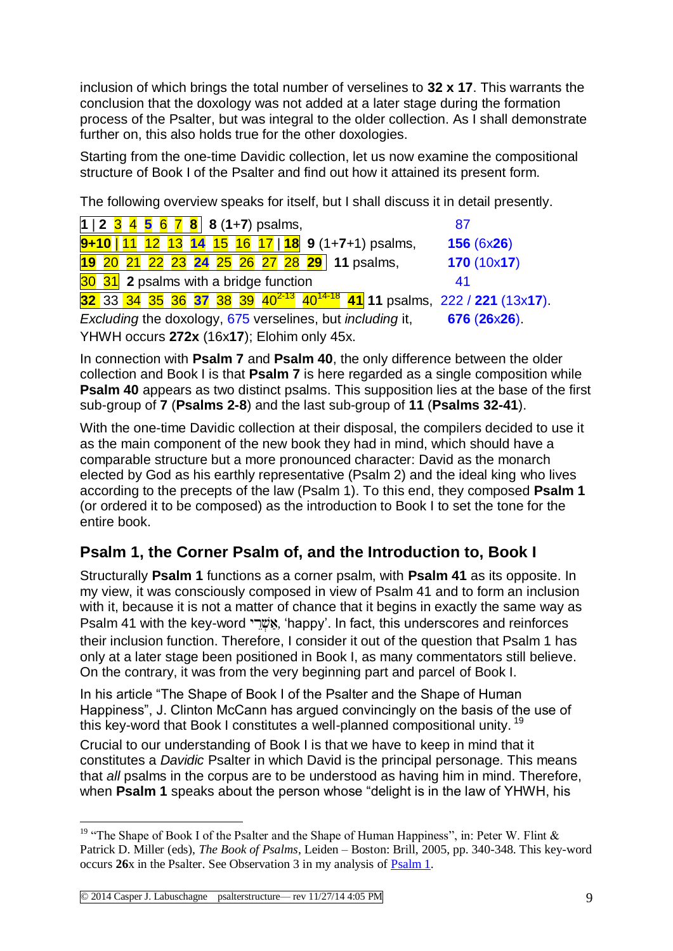inclusion of which brings the total number of verselines to **32 x 17**. This warrants the conclusion that the doxology was not added at a later stage during the formation process of the Psalter, but was integral to the older collection. As I shall demonstrate further on, this also holds true for the other doxologies.

Starting from the one-time Davidic collection, let us now examine the compositional structure of Book I of the Psalter and find out how it attained its present form.

The following overview speaks for itself, but I shall discuss it in detail presently.

| $1 \mid 2 \mid 3 \mid 4 \mid 5 \mid 6 \mid 7 \mid 8 \mid 8 \mid (1+7) \text{ psalms},$          | 87                  |
|-------------------------------------------------------------------------------------------------|---------------------|
| $9+10$   11 12 13 14 15 16 17   18 9 (1+7+1) psalms,                                            | 156(6x26)           |
| 19 20 21 22 23 24 25 26 27 28 29 11 psalms,                                                     | 170(10x17)          |
| 30 31 2 psalms with a bridge function                                                           | 41                  |
| 32 33 34 35 36 37 38 39 40 <sup>2-13</sup> 40 <sup>14-18</sup> 41 11 psalms, 222 / 221 (13x17). |                     |
| Excluding the doxology, 675 verselines, but including it,                                       | $676(26\times26)$ . |
| YHWH occurs 272x (16x17); Elohim only 45x.                                                      |                     |

In connection with **Psalm 7** and **Psalm 40**, the only difference between the older collection and Book I is that **Psalm 7** is here regarded as a single composition while **Psalm 40** appears as two distinct psalms. This supposition lies at the base of the first sub-group of **7** (**Psalms 2-8**) and the last sub-group of **11** (**Psalms 32-41**).

With the one-time Davidic collection at their disposal, the compilers decided to use it as the main component of the new book they had in mind, which should have a comparable structure but a more pronounced character: David as the monarch elected by God as his earthly representative (Psalm 2) and the ideal king who lives according to the precepts of the law (Psalm 1). To this end, they composed **Psalm 1** (or ordered it to be composed) as the introduction to Book I to set the tone for the entire book.

## **Psalm 1, the Corner Psalm of, and the Introduction to, Book I**

Structurally **Psalm 1** functions as a corner psalm, with **Psalm 41** as its opposite. In my view, it was consciously composed in view of Psalm 41 and to form an inclusion with it, because it is not a matter of chance that it begins in exactly the same way as Psalm 41 with the key-word "אָשׁרי, 'happy'. In fact, this underscores and reinforces their inclusion function. Therefore, I consider it out of the question that Psalm 1 has only at a later stage been positioned in Book I, as many commentators still believe. On the contrary, it was from the very beginning part and parcel of Book I.

In his article "The Shape of Book I of the Psalter and the Shape of Human Happiness", J. Clinton McCann has argued convincingly on the basis of the use of this key-word that Book I constitutes a well-planned compositional unity.<sup>19</sup>

Crucial to our understanding of Book I is that we have to keep in mind that it constitutes a *Davidic* Psalter in which David is the principal personage. This means that *all* psalms in the corpus are to be understood as having him in mind. Therefore, when **Psalm 1** speaks about the person whose "delight is in the law of YHWH, his

<sup>&</sup>lt;u>.</u> <sup>19</sup> "The Shape of Book I of the Psalter and the Shape of Human Happiness", in: Peter W. Flint  $\&$ Patrick D. Miller (eds), *The Book of Psalms*, Leiden – Boston: Brill, 2005, pp. 340-348. This key-word occurs **26**x in the Psalter. See Observation 3 in my analysis of [Psalm 1.](http://www.labuschagne.nl/ps001.pdf)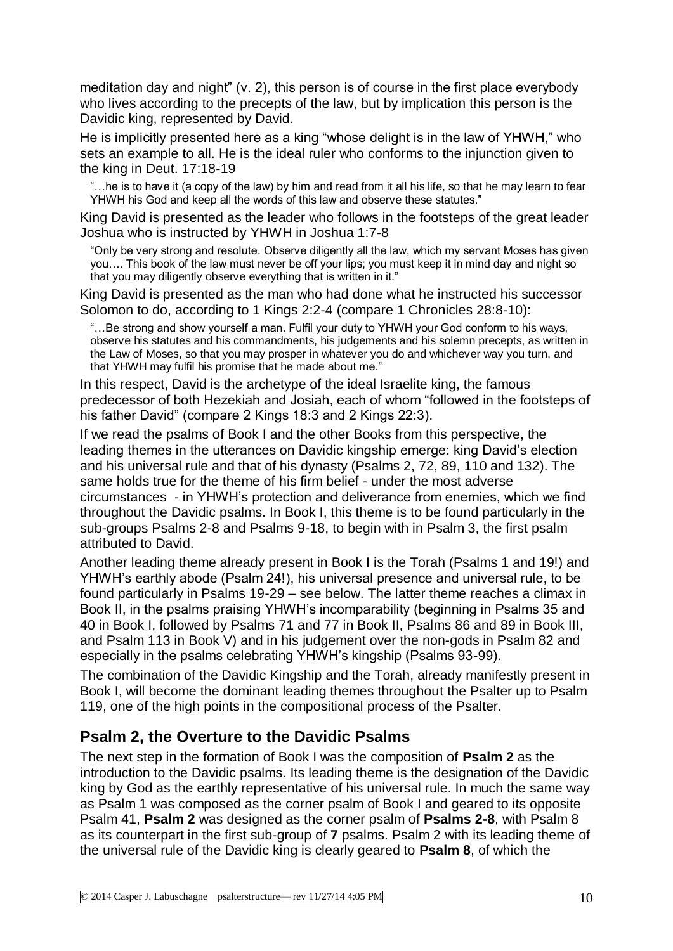meditation day and night" (v. 2), this person is of course in the first place everybody who lives according to the precepts of the law, but by implication this person is the Davidic king, represented by David.

He is implicitly presented here as a king "whose delight is in the law of YHWH," who sets an example to all. He is the ideal ruler who conforms to the injunction given to the king in Deut. 17:18-19

"…he is to have it (a copy of the law) by him and read from it all his life, so that he may learn to fear YHWH his God and keep all the words of this law and observe these statutes."

King David is presented as the leader who follows in the footsteps of the great leader Joshua who is instructed by YHWH in Joshua 1:7-8

"Only be very strong and resolute. Observe diligently all the law, which my servant Moses has given you…. This book of the law must never be off your lips; you must keep it in mind day and night so that you may diligently observe everything that is written in it."

King David is presented as the man who had done what he instructed his successor Solomon to do, according to 1 Kings 2:2-4 (compare 1 Chronicles 28:8-10):

"…Be strong and show yourself a man. Fulfil your duty to YHWH your God conform to his ways, observe his statutes and his commandments, his judgements and his solemn precepts, as written in the Law of Moses, so that you may prosper in whatever you do and whichever way you turn, and that YHWH may fulfil his promise that he made about me."

In this respect, David is the archetype of the ideal Israelite king, the famous predecessor of both Hezekiah and Josiah, each of whom "followed in the footsteps of his father David" (compare 2 Kings 18:3 and 2 Kings 22:3).

If we read the psalms of Book I and the other Books from this perspective, the leading themes in the utterances on Davidic kingship emerge: king David's election and his universal rule and that of his dynasty (Psalms 2, 72, 89, 110 and 132). The same holds true for the theme of his firm belief - under the most adverse circumstances - in YHWH's protection and deliverance from enemies, which we find throughout the Davidic psalms. In Book I, this theme is to be found particularly in the sub-groups Psalms 2-8 and Psalms 9-18, to begin with in Psalm 3, the first psalm attributed to David.

Another leading theme already present in Book I is the Torah (Psalms 1 and 19!) and YHWH's earthly abode (Psalm 24!), his universal presence and universal rule, to be found particularly in Psalms 19-29 – see below. The latter theme reaches a climax in Book II, in the psalms praising YHWH's incomparability (beginning in Psalms 35 and 40 in Book I, followed by Psalms 71 and 77 in Book II, Psalms 86 and 89 in Book III, and Psalm 113 in Book V) and in his judgement over the non-gods in Psalm 82 and especially in the psalms celebrating YHWH's kingship (Psalms 93-99).

The combination of the Davidic Kingship and the Torah, already manifestly present in Book I, will become the dominant leading themes throughout the Psalter up to Psalm 119, one of the high points in the compositional process of the Psalter.

### **Psalm 2, the Overture to the Davidic Psalms**

The next step in the formation of Book I was the composition of **Psalm 2** as the introduction to the Davidic psalms. Its leading theme is the designation of the Davidic king by God as the earthly representative of his universal rule. In much the same way as Psalm 1 was composed as the corner psalm of Book I and geared to its opposite Psalm 41, **Psalm 2** was designed as the corner psalm of **Psalms 2-8**, with Psalm 8 as its counterpart in the first sub-group of **7** psalms. Psalm 2 with its leading theme of the universal rule of the Davidic king is clearly geared to **Psalm 8**, of which the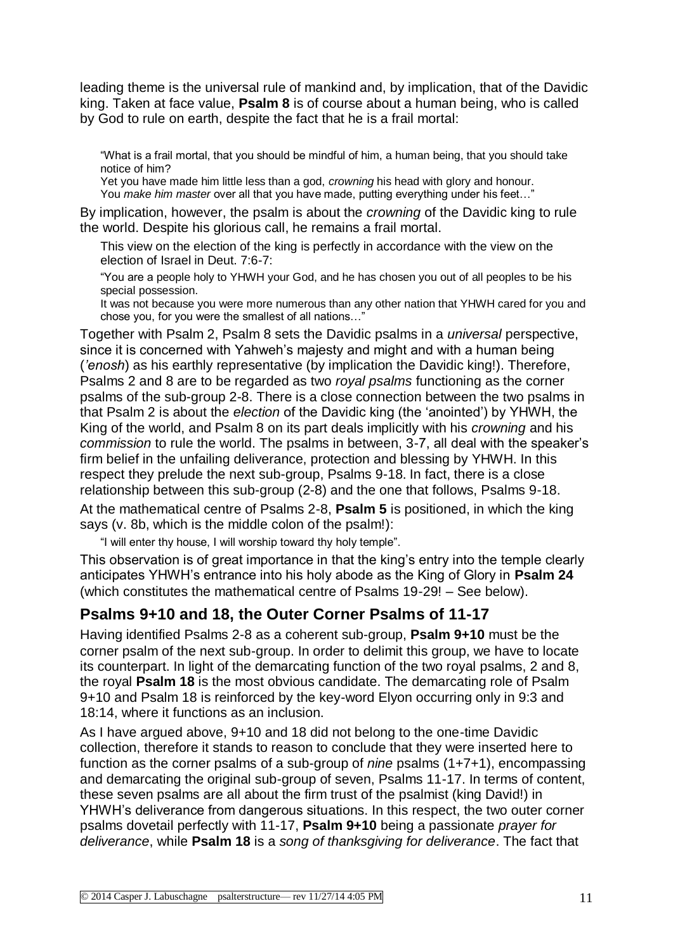leading theme is the universal rule of mankind and, by implication, that of the Davidic king. Taken at face value, **Psalm 8** is of course about a human being, who is called by God to rule on earth, despite the fact that he is a frail mortal:

"What is a frail mortal, that you should be mindful of him, a human being, that you should take notice of him?

Yet you have made him little less than a god, *crowning* his head with glory and honour. You *make him master* over all that you have made, putting everything under his feet…"

By implication, however, the psalm is about the *crowning* of the Davidic king to rule the world. Despite his glorious call, he remains a frail mortal.

This view on the election of the king is perfectly in accordance with the view on the election of Israel in Deut. 7:6-7:

"You are a people holy to YHWH your God, and he has chosen you out of all peoples to be his special possession.

It was not because you were more numerous than any other nation that YHWH cared for you and chose you, for you were the smallest of all nations…"

Together with Psalm 2, Psalm 8 sets the Davidic psalms in a *universal* perspective, since it is concerned with Yahweh's majesty and might and with a human being (*'enosh*) as his earthly representative (by implication the Davidic king!). Therefore, Psalms 2 and 8 are to be regarded as two *royal psalms* functioning as the corner psalms of the sub-group 2-8. There is a close connection between the two psalms in that Psalm 2 is about the *election* of the Davidic king (the 'anointed') by YHWH, the King of the world, and Psalm 8 on its part deals implicitly with his *crowning* and his *commission* to rule the world. The psalms in between, 3-7, all deal with the speaker's firm belief in the unfailing deliverance, protection and blessing by YHWH. In this respect they prelude the next sub-group, Psalms 9-18. In fact, there is a close relationship between this sub-group (2-8) and the one that follows, Psalms 9-18. At the mathematical centre of Psalms 2-8, **Psalm 5** is positioned, in which the king says (v. 8b, which is the middle colon of the psalm!):

"I will enter thy house, I will worship toward thy holy temple".

This observation is of great importance in that the king's entry into the temple clearly anticipates YHWH's entrance into his holy abode as the King of Glory in **Psalm 24** (which constitutes the mathematical centre of Psalms 19-29! – See below).

#### **Psalms 9+10 and 18, the Outer Corner Psalms of 11-17**

Having identified Psalms 2-8 as a coherent sub-group, **Psalm 9+10** must be the corner psalm of the next sub-group. In order to delimit this group, we have to locate its counterpart. In light of the demarcating function of the two royal psalms, 2 and 8, the royal **Psalm 18** is the most obvious candidate. The demarcating role of Psalm 9+10 and Psalm 18 is reinforced by the key-word Elyon occurring only in 9:3 and 18:14, where it functions as an inclusion.

As I have argued above, 9+10 and 18 did not belong to the one-time Davidic collection, therefore it stands to reason to conclude that they were inserted here to function as the corner psalms of a sub-group of *nine* psalms (1+7+1), encompassing and demarcating the original sub-group of seven, Psalms 11-17. In terms of content, these seven psalms are all about the firm trust of the psalmist (king David!) in YHWH's deliverance from dangerous situations. In this respect, the two outer corner psalms dovetail perfectly with 11-17, **Psalm 9+10** being a passionate *prayer for deliverance*, while **Psalm 18** is a *song of thanksgiving for deliverance*. The fact that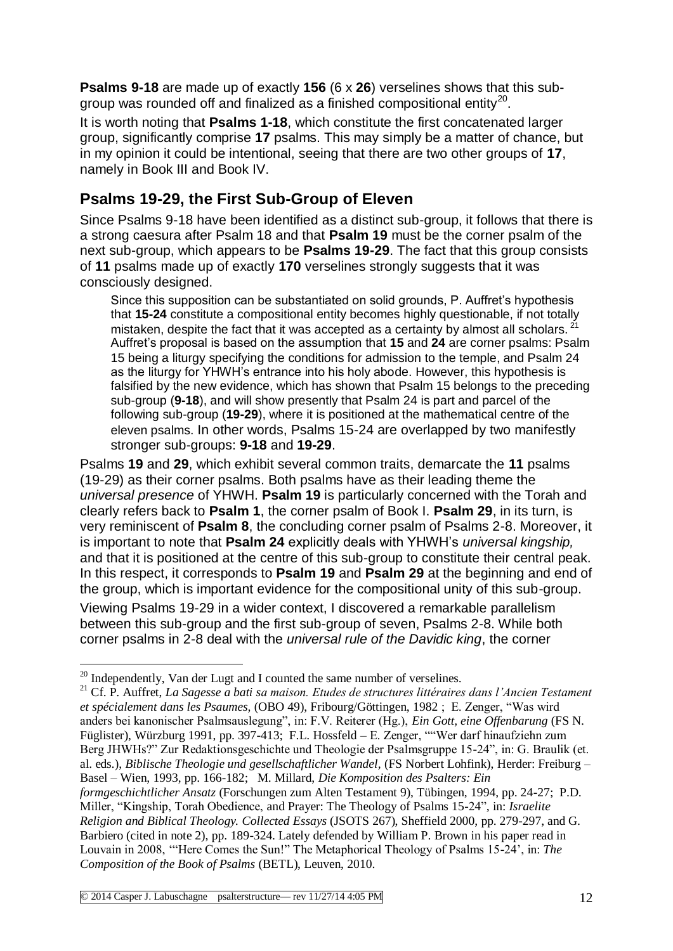**Psalms 9-18** are made up of exactly **156** (6 x **26**) verselines shows that this subgroup was rounded off and finalized as a finished compositional entity<sup>20</sup>.

It is worth noting that **Psalms 1-18**, which constitute the first concatenated larger group, significantly comprise **17** psalms. This may simply be a matter of chance, but in my opinion it could be intentional, seeing that there are two other groups of **17**, namely in Book III and Book IV.

## **Psalms 19-29, the First Sub-Group of Eleven**

Since Psalms 9-18 have been identified as a distinct sub-group, it follows that there is a strong caesura after Psalm 18 and that **Psalm 19** must be the corner psalm of the next sub-group, which appears to be **Psalms 19-29**. The fact that this group consists of **11** psalms made up of exactly **170** verselines strongly suggests that it was consciously designed.

Since this supposition can be substantiated on solid grounds, P. Auffret's hypothesis that **15-24** constitute a compositional entity becomes highly questionable, if not totally mistaken, despite the fact that it was accepted as a certainty by almost all scholars. Auffret's proposal is based on the assumption that **15** and **24** are corner psalms: Psalm 15 being a liturgy specifying the conditions for admission to the temple, and Psalm 24 as the liturgy for YHWH's entrance into his holy abode. However, this hypothesis is falsified by the new evidence, which has shown that Psalm 15 belongs to the preceding sub-group (**9-18**), and will show presently that Psalm 24 is part and parcel of the following sub-group (**19-29**), where it is positioned at the mathematical centre of the eleven psalms. In other words, Psalms 15-24 are overlapped by two manifestly stronger sub-groups: **9-18** and **19-29**.

Psalms **19** and **29**, which exhibit several common traits, demarcate the **11** psalms (19-29) as their corner psalms. Both psalms have as their leading theme the *universal presence* of YHWH. **Psalm 19** is particularly concerned with the Torah and clearly refers back to **Psalm 1**, the corner psalm of Book I. **Psalm 29**, in its turn, is very reminiscent of **Psalm 8**, the concluding corner psalm of Psalms 2-8. Moreover, it is important to note that **Psalm 24** explicitly deals with YHWH's *universal kingship,*  and that it is positioned at the centre of this sub-group to constitute their central peak. In this respect, it corresponds to **Psalm 19** and **Psalm 29** at the beginning and end of the group, which is important evidence for the compositional unity of this sub-group.

Viewing Psalms 19-29 in a wider context, I discovered a remarkable parallelism between this sub-group and the first sub-group of seven, Psalms 2-8. While both corner psalms in 2-8 deal with the *universal rule of the Davidic king*, the corner

 $20$  Independently, Van der Lugt and I counted the same number of verselines.

<sup>21</sup> Cf. P. Auffret, *La Sagesse a bati sa maison. Etudes de structures littéraires dans l'Ancien Testament et spécialement dans les Psaumes,* (OBO 49), Fribourg/Göttingen, 1982 ; E. Zenger, "Was wird anders bei kanonischer Psalmsauslegung", in: F.V. Reiterer (Hg.), *Ein Gott, eine Offenbarung* (FS N. Füglister), Würzburg 1991, pp. 397-413; F.L. Hossfeld – E. Zenger, ""Wer darf hinaufziehn zum Berg JHWHs?" Zur Redaktionsgeschichte und Theologie der Psalmsgruppe 15-24", in: G. Braulik (et. al. eds.), *Biblische Theologie und gesellschaftlicher Wandel,* (FS Norbert Lohfink), Herder: Freiburg – Basel – Wien, 1993, pp. 166-182; M. Millard, *Die Komposition des Psalters: Ein formgeschichtlicher Ansatz* (Forschungen zum Alten Testament 9), Tübingen, 1994, pp. 24-27; P.D. Miller, "Kingship, Torah Obedience, and Prayer: The Theology of Psalms 15-24"*,* in: *Israelite Religion and Biblical Theology. Collected Essays* (JSOTS 267), Sheffield 2000, pp. 279-297, and G. Barbiero (cited in note 2), pp. 189-324. Lately defended by William P. Brown in his paper read in Louvain in 2008, '"Here Comes the Sun!" The Metaphorical Theology of Psalms 15-24', in: *The Composition of the Book of Psalms* (BETL), Leuven, 2010.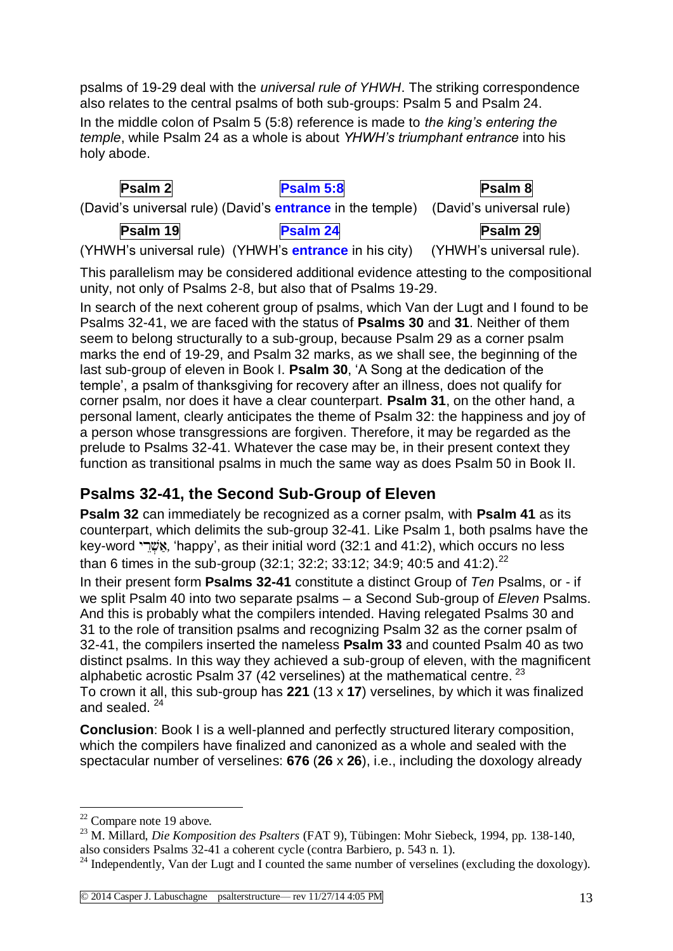psalms of 19-29 deal with the *universal rule of YHWH*. The striking correspondence also relates to the central psalms of both sub-groups: Psalm 5 and Psalm 24.

In the middle colon of Psalm 5 (5:8) reference is made to *the king's entering the temple*, while Psalm 24 as a whole is about *YHWH's triumphant entrance* into his holy abode.

| Psalm 2  | Psalm 5:8                                                                          | Psalm 8  |
|----------|------------------------------------------------------------------------------------|----------|
|          | (David's universal rule) (David's entrance in the temple) (David's universal rule) |          |
| Psalm 19 | <b>Psalm 24</b>                                                                    | Psalm 29 |

(YHWH's universal rule) (YHWH's **entrance** in his city) (YHWH's universal rule).

This parallelism may be considered additional evidence attesting to the compositional unity, not only of Psalms 2-8, but also that of Psalms 19-29.

In search of the next coherent group of psalms, which Van der Lugt and I found to be Psalms 32-41, we are faced with the status of **Psalms 30** and **31**. Neither of them seem to belong structurally to a sub-group, because Psalm 29 as a corner psalm marks the end of 19-29, and Psalm 32 marks, as we shall see, the beginning of the last sub-group of eleven in Book I. **Psalm 30**, 'A Song at the dedication of the temple', a psalm of thanksgiving for recovery after an illness, does not qualify for corner psalm, nor does it have a clear counterpart. **Psalm 31**, on the other hand, a personal lament, clearly anticipates the theme of Psalm 32: the happiness and joy of a person whose transgressions are forgiven. Therefore, it may be regarded as the prelude to Psalms 32-41. Whatever the case may be, in their present context they function as transitional psalms in much the same way as does Psalm 50 in Book II.

## **Psalms 32-41, the Second Sub-Group of Eleven**

**Psalm 32** can immediately be recognized as a corner psalm, with **Psalm 41** as its counterpart, which delimits the sub-group 32-41. Like Psalm 1, both psalms have the key-word "אָשׁר", as their initial word (32:1 and 41:2), which occurs no less than 6 times in the sub-group (32:1; 32:2; 33:12; 34:9; 40:5 and 41:2).<sup>22</sup>

In their present form **Psalms 32-41** constitute a distinct Group of *Ten* Psalms, or - if we split Psalm 40 into two separate psalms – a Second Sub-group of *Eleven* Psalms. And this is probably what the compilers intended. Having relegated Psalms 30 and 31 to the role of transition psalms and recognizing Psalm 32 as the corner psalm of 32-41, the compilers inserted the nameless **Psalm 33** and counted Psalm 40 as two distinct psalms. In this way they achieved a sub-group of eleven, with the magnificent alphabetic acrostic Psalm 37 (42 verselines) at the mathematical centre.  $^{23}$ To crown it all, this sub-group has **221** (13 x **17**) verselines, by which it was finalized and sealed.<sup>24</sup>

**Conclusion**: Book I is a well-planned and perfectly structured literary composition, which the compilers have finalized and canonized as a whole and sealed with the spectacular number of verselines: **676** (**26** x **26**), i.e., including the doxology already

1

 $22$  Compare note 19 above.

<sup>23</sup> M. Millard, *Die Komposition des Psalters* (FAT 9), Tübingen: Mohr Siebeck, 1994, pp. 138-140, also considers Psalms 32-41 a coherent cycle (contra Barbiero, p. 543 n. 1).

 $^{24}$  Independently, Van der Lugt and I counted the same number of verselines (excluding the doxology).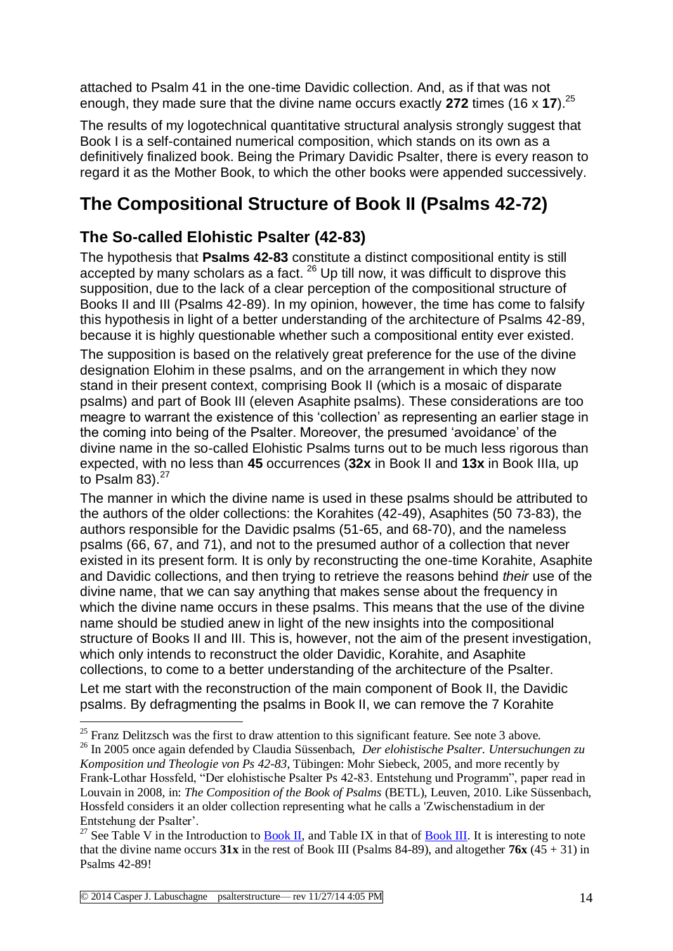attached to Psalm 41 in the one-time Davidic collection. And, as if that was not enough, they made sure that the divine name occurs exactly **272** times (16 x **17**).<sup>25</sup>

The results of my logotechnical quantitative structural analysis strongly suggest that Book I is a self-contained numerical composition, which stands on its own as a definitively finalized book. Being the Primary Davidic Psalter, there is every reason to regard it as the Mother Book, to which the other books were appended successively.

# **The Compositional Structure of Book II (Psalms 42-72)**

## **The So-called Elohistic Psalter (42-83)**

The hypothesis that **Psalms 42-83** constitute a distinct compositional entity is still accepted by many scholars as a fact.  $26$  Up till now, it was difficult to disprove this supposition, due to the lack of a clear perception of the compositional structure of Books II and III (Psalms 42-89). In my opinion, however, the time has come to falsify this hypothesis in light of a better understanding of the architecture of Psalms 42-89, because it is highly questionable whether such a compositional entity ever existed. The supposition is based on the relatively great preference for the use of the divine designation Elohim in these psalms, and on the arrangement in which they now stand in their present context, comprising Book II (which is a mosaic of disparate psalms) and part of Book III (eleven Asaphite psalms). These considerations are too meagre to warrant the existence of this 'collection' as representing an earlier stage in the coming into being of the Psalter. Moreover, the presumed 'avoidance' of the divine name in the so-called Elohistic Psalms turns out to be much less rigorous than expected, with no less than **45** occurrences (**32x** in Book II and **13x** in Book IIIa, up to Psalm  $83$ ). $27$ 

The manner in which the divine name is used in these psalms should be attributed to the authors of the older collections: the Korahites (42-49), Asaphites (50 73-83), the authors responsible for the Davidic psalms (51-65, and 68-70), and the nameless psalms (66, 67, and 71), and not to the presumed author of a collection that never existed in its present form. It is only by reconstructing the one-time Korahite, Asaphite and Davidic collections, and then trying to retrieve the reasons behind *their* use of the divine name, that we can say anything that makes sense about the frequency in which the divine name occurs in these psalms. This means that the use of the divine name should be studied anew in light of the new insights into the compositional structure of Books II and III. This is, however, not the aim of the present investigation, which only intends to reconstruct the older Davidic, Korahite, and Asaphite collections, to come to a better understanding of the architecture of the Psalter.

Let me start with the reconstruction of the main component of Book II, the Davidic psalms. By defragmenting the psalms in Book II, we can remove the 7 Korahite

<sup>&</sup>lt;u>.</u>  $25$  Franz Delitzsch was the first to draw attention to this significant feature. See note 3 above.

<sup>26</sup> In 2005 once again defended by Claudia Süssenbach, *Der elohistische Psalter. Untersuchungen zu Komposition und Theologie von Ps 42-83*, Tübingen: Mohr Siebeck, 2005, and more recently by Frank-Lothar Hossfeld, "Der elohistische Psalter Ps 42-83. Entstehung und Programm", paper read in Louvain in 2008, in: *The Composition of the Book of Psalms* (BETL), Leuven, 2010. Like Süssenbach, Hossfeld considers it an older collection representing what he calls a 'Zwischenstadium in der Entstehung der Psalter'.

<sup>&</sup>lt;sup>27</sup> See Table V in the Introduction to [Book II,](http://www.labuschagne.nl/intro2.pdf) and Table IX in that of [Book III.](http://www.labuschagne.nl/intro3.pdf) It is interesting to note that the divine name occurs  $31x$  in the rest of Book III (Psalms 84-89), and altogether  $76x(45 + 31)$  in Psalms 42-89!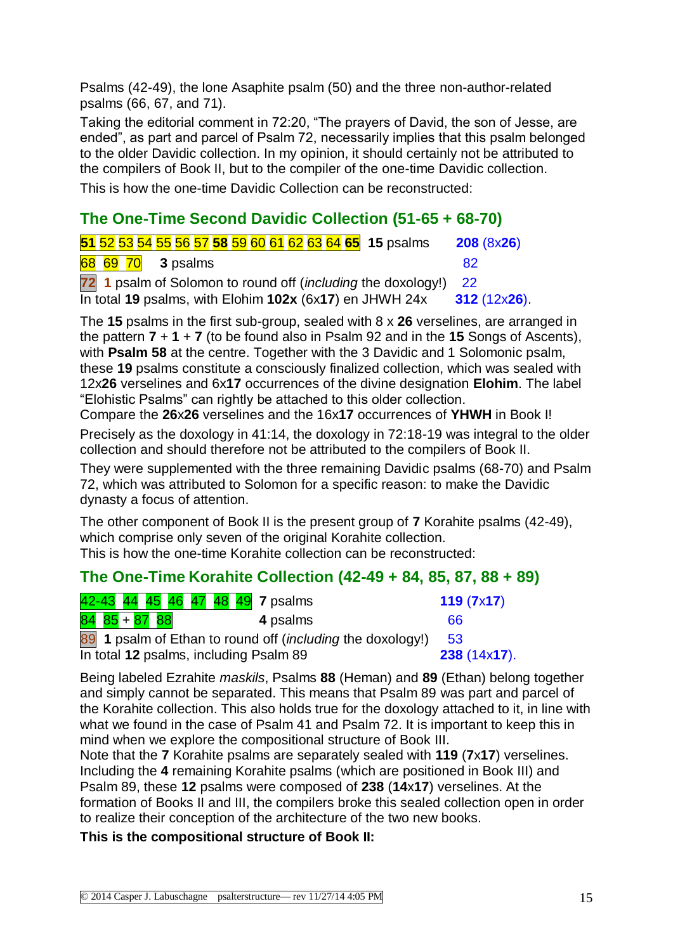Psalms (42-49), the lone Asaphite psalm (50) and the three non-author-related psalms (66, 67, and 71).

Taking the editorial comment in 72:20, "The prayers of David, the son of Jesse, are ended", as part and parcel of Psalm 72, necessarily implies that this psalm belonged to the older Davidic collection. In my opinion, it should certainly not be attributed to the compilers of Book II, but to the compiler of the one-time Davidic collection.

This is how the one-time Davidic Collection can be reconstructed:

## **The One-Time Second Davidic Collection (51-65 + 68-70)**

| 51 52 53 54 55 56 57 58 59 60 61 62 63 64 65 15 psalms                                                                        | 208 (8x26)     |
|-------------------------------------------------------------------------------------------------------------------------------|----------------|
| $\begin{array}{ c c c c c } \hline \mathbf{68} & \mathbf{69} & \mathbf{70} & \mathbf{3} & \mathbf{psalms} \hline \end{array}$ | 82             |
| 72 1 psalm of Solomon to round off (including the doxology!) 22                                                               |                |
| In total 19 psalms, with Elohim 102x (6x17) en JHWH 24x                                                                       | $312(12x26)$ . |

The **15** psalms in the first sub-group, sealed with 8 x **26** verselines, are arranged in the pattern **7** + **1** + **7** (to be found also in Psalm 92 and in the **15** Songs of Ascents), with **Psalm 58** at the centre. Together with the 3 Davidic and 1 Solomonic psalm, these **19** psalms constitute a consciously finalized collection, which was sealed with 12x**26** verselines and 6x**17** occurrences of the divine designation **Elohim**. The label "Elohistic Psalms" can rightly be attached to this older collection.

Compare the **26**x**26** verselines and the 16x**17** occurrences of **YHWH** in Book I!

Precisely as the doxology in 41:14, the doxology in 72:18-19 was integral to the older collection and should therefore not be attributed to the compilers of Book II.

They were supplemented with the three remaining Davidic psalms (68-70) and Psalm 72, which was attributed to Solomon for a specific reason: to make the Davidic dynasty a focus of attention.

The other component of Book II is the present group of **7** Korahite psalms (42-49), which comprise only seven of the original Korahite collection. This is how the one-time Korahite collection can be reconstructed:

### **The One-Time Korahite Collection (42-49 + 84, 85, 87, 88 + 89)**

| 42-43 44 45 46 47 48 49 7 psalms                                      | 119(7x17)      |
|-----------------------------------------------------------------------|----------------|
| $84$ $85 + 87$ $88$<br>4 psalms                                       | 66             |
| 89 1 psalm of Ethan to round off ( <i>including</i> the doxology!) 53 |                |
| In total 12 psalms, including Psalm 89                                | $238(14x17)$ . |

Being labeled Ezrahite *maskils*, Psalms **88** (Heman) and **89** (Ethan) belong together and simply cannot be separated. This means that Psalm 89 was part and parcel of the Korahite collection. This also holds true for the doxology attached to it, in line with what we found in the case of Psalm 41 and Psalm 72. It is important to keep this in mind when we explore the compositional structure of Book III.

Note that the **7** Korahite psalms are separately sealed with **119** (**7**x**17**) verselines. Including the **4** remaining Korahite psalms (which are positioned in Book III) and Psalm 89, these **12** psalms were composed of **238** (**14**x**17**) verselines. At the formation of Books II and III, the compilers broke this sealed collection open in order to realize their conception of the architecture of the two new books.

#### **This is the compositional structure of Book II:**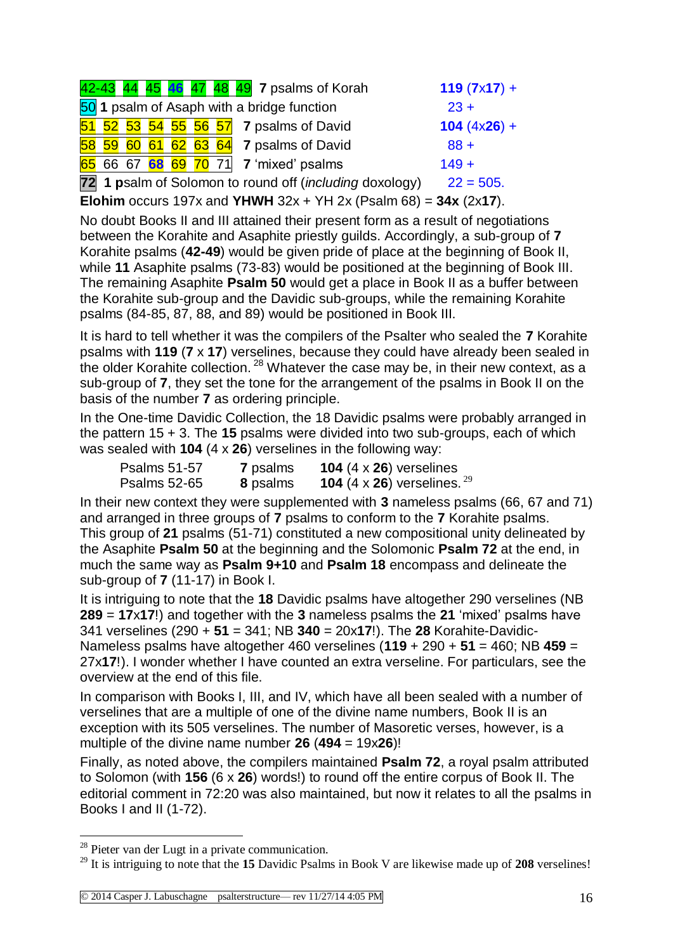|  |  |  | 42-43 44 45 46 47 48 49 7 psalms of Korah               | $119 (7x17) +$ |
|--|--|--|---------------------------------------------------------|----------------|
|  |  |  | 50 1 psalm of Asaph with a bridge function              | $23 +$         |
|  |  |  | 51 52 53 54 55 56 57 7 psalms of David                  | $104 (4x26) +$ |
|  |  |  | $\frac{58}{59}$ 60 61 62 63 64 7 psalms of David        | $88 +$         |
|  |  |  | 65 66 67 68 69 70 71 7 'mixed' psalms                   | $149 +$        |
|  |  |  | 72 1 psalm of Solomon to round off (including doxology) | $22 = 505.$    |

**Elohim** occurs 197x and **YHWH** 32x + YH 2x (Psalm 68) = **34x** (2x**17**).

No doubt Books II and III attained their present form as a result of negotiations between the Korahite and Asaphite priestly guilds. Accordingly, a sub-group of **7** Korahite psalms (**42-49**) would be given pride of place at the beginning of Book II, while **11** Asaphite psalms (73-83) would be positioned at the beginning of Book III. The remaining Asaphite **Psalm 50** would get a place in Book II as a buffer between the Korahite sub-group and the Davidic sub-groups, while the remaining Korahite psalms (84-85, 87, 88, and 89) would be positioned in Book III.

It is hard to tell whether it was the compilers of the Psalter who sealed the **7** Korahite psalms with **119** (**7** x **17**) verselines, because they could have already been sealed in the older Korahite collection.  $28$  Whatever the case may be, in their new context, as a sub-group of **7**, they set the tone for the arrangement of the psalms in Book II on the basis of the number **7** as ordering principle.

In the One-time Davidic Collection, the 18 Davidic psalms were probably arranged in the pattern 15 + 3. The **15** psalms were divided into two sub-groups, each of which was sealed with **104** (4 x **26**) verselines in the following way:

| <b>Psalms 51-57</b> | 7 psalms | 104 $(4 \times 26)$ verselines                  |
|---------------------|----------|-------------------------------------------------|
| <b>Psalms 52-65</b> | 8 psalms | <b>104</b> (4 x <b>26</b> ) verselines. $^{29}$ |

In their new context they were supplemented with **3** nameless psalms (66, 67 and 71) and arranged in three groups of **7** psalms to conform to the **7** Korahite psalms. This group of **21** psalms (51-71) constituted a new compositional unity delineated by the Asaphite **Psalm 50** at the beginning and the Solomonic **Psalm 72** at the end, in much the same way as **Psalm 9+10** and **Psalm 18** encompass and delineate the sub-group of **7** (11-17) in Book I.

It is intriguing to note that the **18** Davidic psalms have altogether 290 verselines (NB **289** = **17**x**17**!) and together with the **3** nameless psalms the **21** 'mixed' psalms have 341 verselines (290 + **51** = 341; NB **340** = 20x**17**!). The **28** Korahite-Davidic-Nameless psalms have altogether 460 verselines (**119** + 290 + **51** = 460; NB **459** = 27x**17**!). I wonder whether I have counted an extra verseline. For particulars, see the overview at the end of this file.

In comparison with Books I, III, and IV, which have all been sealed with a number of verselines that are a multiple of one of the divine name numbers, Book II is an exception with its 505 verselines. The number of Masoretic verses, however, is a multiple of the divine name number **26** (**494** = 19x**26**)!

Finally, as noted above, the compilers maintained **Psalm 72**, a royal psalm attributed to Solomon (with **156** (6 x **26**) words!) to round off the entire corpus of Book II. The editorial comment in 72:20 was also maintained, but now it relates to all the psalms in Books I and II (1-72).

<sup>28</sup> Pieter van der Lugt in a private communication.

<sup>29</sup> It is intriguing to note that the **15** Davidic Psalms in Book V are likewise made up of **208** verselines!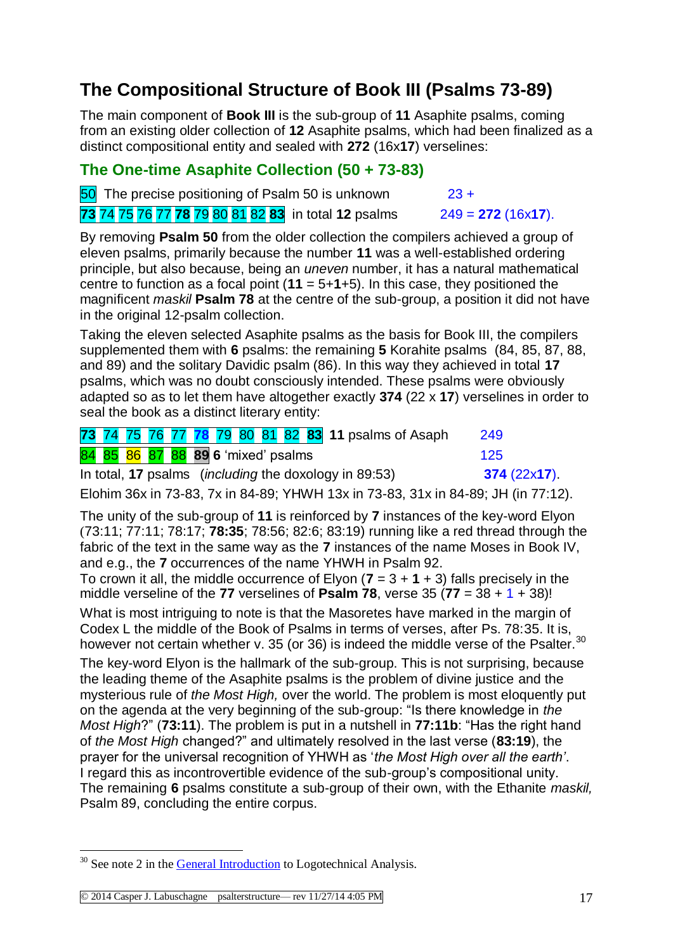# **The Compositional Structure of Book III (Psalms 73-89)**

The main component of **Book III** is the sub-group of **11** Asaphite psalms, coming from an existing older collection of **12** Asaphite psalms, which had been finalized as a distinct compositional entity and sealed with **272** (16x**17**) verselines:

### **The One-time Asaphite Collection (50 + 73-83)**

 $\overline{50}$  The precise positioning of Psalm 50 is unknown  $\overline{23} +$ 

**73** 74 75 76 77 **78** 79 80 81 82 **83** in total **12** psalms 249 = **272** (16x**17**).

By removing **Psalm 50** from the older collection the compilers achieved a group of eleven psalms, primarily because the number **11** was a well-established ordering principle, but also because, being an *uneven* number, it has a natural mathematical centre to function as a focal point (**11** = 5+**1**+5). In this case, they positioned the magnificent *maskil* **Psalm 78** at the centre of the sub-group, a position it did not have in the original 12-psalm collection.

Taking the eleven selected Asaphite psalms as the basis for Book III, the compilers supplemented them with **6** psalms: the remaining **5** Korahite psalms (84, 85, 87, 88, and 89) and the solitary Davidic psalm (86). In this way they achieved in total **17** psalms, which was no doubt consciously intended. These psalms were obviously adapted so as to let them have altogether exactly **374** (22 x **17**) verselines in order to seal the book as a distinct literary entity:

|  |  | 73 74 75 76 77 78 79 80 81 82 83 11 psalms of Asaph           | 249            |
|--|--|---------------------------------------------------------------|----------------|
|  |  | 84 85 86 87 88 89 6 'mixed' psalms                            | 125            |
|  |  | In total, 17 psalms ( <i>including</i> the doxology in 89:53) | $374(22x17)$ . |

Elohim 36x in 73-83, 7x in 84-89; YHWH 13x in 73-83, 31x in 84-89; JH (in 77:12).

The unity of the sub-group of **11** is reinforced by **7** instances of the key-word Elyon (73:11; 77:11; 78:17; **78:35**; 78:56; 82:6; 83:19) running like a red thread through the fabric of the text in the same way as the **7** instances of the name Moses in Book IV, and e.g., the **7** occurrences of the name YHWH in Psalm 92.

To crown it all, the middle occurrence of Elyon  $(7 = 3 + 1 + 3)$  falls precisely in the middle verseline of the **77** verselines of **Psalm 78**, verse 35 ( $77 = 38 + 1 + 38$ )!

What is most intriguing to note is that the Masoretes have marked in the margin of Codex L the middle of the Book of Psalms in terms of verses, after Ps. 78:35. It is, however not certain whether v. 35 (or 36) is indeed the middle verse of the Psalter.<sup>30</sup>

The key-word Elyon is the hallmark of the sub-group. This is not surprising, because the leading theme of the Asaphite psalms is the problem of divine justice and the mysterious rule of *the Most High,* over the world. The problem is most eloquently put on the agenda at the very beginning of the sub-group: "Is there knowledge in *the Most High*?" (**73:11**). The problem is put in a nutshell in **77:11b**: "Has the right hand of *the Most High* changed?" and ultimately resolved in the last verse (**83:19**), the prayer for the universal recognition of YHWH as '*the Most High over all the earth'*. I regard this as incontrovertible evidence of the sub-group's compositional unity. The remaining **6** psalms constitute a sub-group of their own, with the Ethanite *maskil,* Psalm 89, concluding the entire corpus.

<sup>&</sup>lt;u>.</u> <sup>30</sup> See note 2 in the **General Introduction** to Logotechnical Analysis.

<sup>©</sup> 2014 Casper J. Labuschagne psalterstructure— rev 11/27/14 4:05 PM 17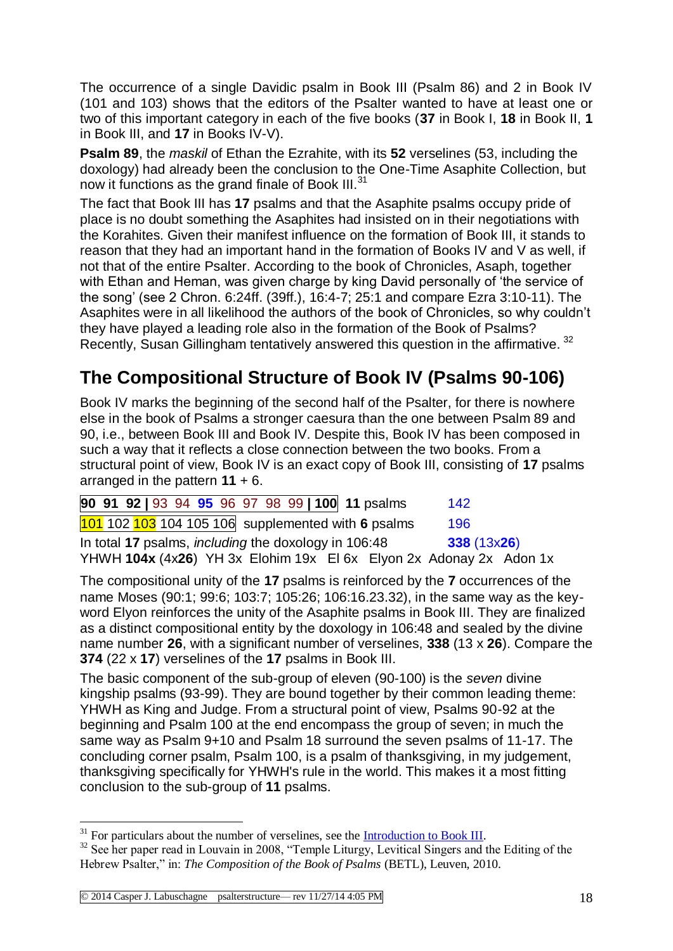The occurrence of a single Davidic psalm in Book III (Psalm 86) and 2 in Book IV (101 and 103) shows that the editors of the Psalter wanted to have at least one or two of this important category in each of the five books (**37** in Book I, **18** in Book II, **1**  in Book III, and **17** in Books IV-V).

**Psalm 89**, the *maskil* of Ethan the Ezrahite, with its **52** verselines (53, including the doxology) had already been the conclusion to the One-Time Asaphite Collection, but now it functions as the grand finale of Book III.<sup>31</sup>

The fact that Book III has **17** psalms and that the Asaphite psalms occupy pride of place is no doubt something the Asaphites had insisted on in their negotiations with the Korahites. Given their manifest influence on the formation of Book III, it stands to reason that they had an important hand in the formation of Books IV and V as well, if not that of the entire Psalter. According to the book of Chronicles, Asaph, together with Ethan and Heman, was given charge by king David personally of 'the service of the song' (see 2 Chron. 6:24ff. (39ff.), 16:4-7; 25:1 and compare Ezra 3:10-11). The Asaphites were in all likelihood the authors of the book of Chronicles, so why couldn't they have played a leading role also in the formation of the Book of Psalms? Recently, Susan Gillingham tentatively answered this question in the affirmative.<sup>32</sup>

# **The Compositional Structure of Book IV (Psalms 90-106)**

Book IV marks the beginning of the second half of the Psalter, for there is nowhere else in the book of Psalms a stronger caesura than the one between Psalm 89 and 90, i.e., between Book III and Book IV. Despite this, Book IV has been composed in such a way that it reflects a close connection between the two books. From a structural point of view, Book IV is an exact copy of Book III, consisting of **17** psalms arranged in the pattern **11** + 6.

|  |  |  |  |  |  | 90 91 92   93 94 95 96 97 98 99   100 11 psalms             | 142                                                                |  |
|--|--|--|--|--|--|-------------------------------------------------------------|--------------------------------------------------------------------|--|
|  |  |  |  |  |  | $101$ 102 103 104 105 106 supplemented with 6 psalms        | 196                                                                |  |
|  |  |  |  |  |  | In total 17 psalms, <i>including</i> the doxology in 106:48 | 338(13x26)                                                         |  |
|  |  |  |  |  |  |                                                             | YHWH 104x (4x26) YH 3x Elohim 19x El 6x Elyon 2x Adonay 2x Adon 1x |  |

The compositional unity of the **17** psalms is reinforced by the **7** occurrences of the name Moses (90:1; 99:6; 103:7; 105:26; 106:16.23.32), in the same way as the keyword Elyon reinforces the unity of the Asaphite psalms in Book III. They are finalized as a distinct compositional entity by the doxology in 106:48 and sealed by the divine name number **26**, with a significant number of verselines, **338** (13 x **26**). Compare the **374** (22 x **17**) verselines of the **17** psalms in Book III.

The basic component of the sub-group of eleven (90-100) is the *seven* divine kingship psalms (93-99). They are bound together by their common leading theme: YHWH as King and Judge. From a structural point of view, Psalms 90-92 at the beginning and Psalm 100 at the end encompass the group of seven; in much the same way as Psalm 9+10 and Psalm 18 surround the seven psalms of 11-17. The concluding corner psalm, Psalm 100, is a psalm of thanksgiving, in my judgement, thanksgiving specifically for YHWH's rule in the world. This makes it a most fitting conclusion to the sub-group of **11** psalms.

 $31$  For particulars about the number of verselines, see the [Introduction to Book III.](http://www.labuschagne.nl/intro3.pdf)

<sup>&</sup>lt;sup>32</sup> See her paper read in Louvain in 2008, "Temple Liturgy, Levitical Singers and the Editing of the Hebrew Psalter," in: *The Composition of the Book of Psalms* (BETL), Leuven, 2010.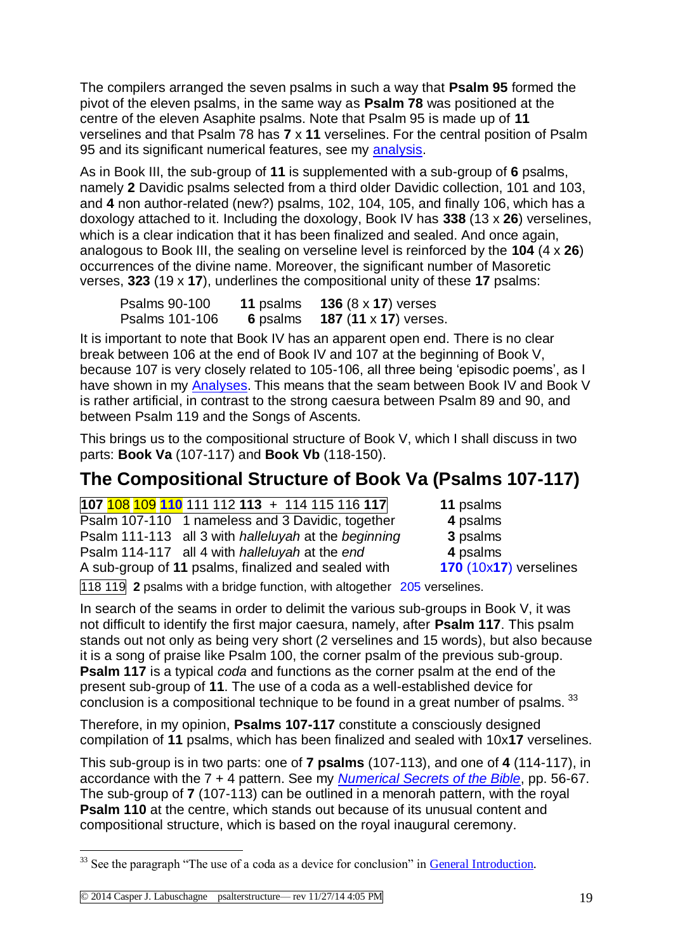The compilers arranged the seven psalms in such a way that **Psalm 95** formed the pivot of the eleven psalms, in the same way as **Psalm 78** was positioned at the centre of the eleven Asaphite psalms. Note that Psalm 95 is made up of **11** verselines and that Psalm 78 has **7** x **11** verselines. For the central position of Psalm 95 and its significant numerical features, see my [analysis.](http://www.labuschagne.nl/ps095.pdf)

As in Book III, the sub-group of **11** is supplemented with a sub-group of **6** psalms, namely **2** Davidic psalms selected from a third older Davidic collection, 101 and 103, and **4** non author-related (new?) psalms, 102, 104, 105, and finally 106, which has a doxology attached to it. Including the doxology, Book IV has **338** (13 x **26**) verselines, which is a clear indication that it has been finalized and sealed. And once again, analogous to Book III, the sealing on verseline level is reinforced by the **104** (4 x **26**) occurrences of the divine name. Moreover, the significant number of Masoretic verses, **323** (19 x **17**), underlines the compositional unity of these **17** psalms:

| Psalms 90-100  | <b>11 psalms</b> | <b>136</b> $(8 \times 17)$ verses |
|----------------|------------------|-----------------------------------|
| Psalms 101-106 | 6 psalms         | <b>187 (11 x 17) verses.</b>      |

It is important to note that Book IV has an apparent open end. There is no clear break between 106 at the end of Book IV and 107 at the beginning of Book V, because 107 is very closely related to 105-106, all three being 'episodic poems', as I have shown in my [Analyses.](http://www.labuschagne.nl/ps107.pdf) This means that the seam between Book IV and Book V is rather artificial, in contrast to the strong caesura between Psalm 89 and 90, and between Psalm 119 and the Songs of Ascents.

This brings us to the compositional structure of Book V, which I shall discuss in two parts: **Book Va** (107-117) and **Book Vb** (118-150).

# **The Compositional Structure of Book Va (Psalms 107-117)**

**107** 108 109 **110** 111 112 **113** + 114 115 116 **117 11** psalms Psalm 107-110 1 nameless and 3 Davidic, together **4** psalms Psalm 111-113 all 3 with *halleluyah* at the *beginning* **3** psalms Psalm 114-117 all 4 with *halleluyah* at the *end* **4** psalms A sub-group of **11** psalms, finalized and sealed with **170** (10x**17**) verselines

118 119 **2** psalms with a bridge function, with altogether 205 verselines.

In search of the seams in order to delimit the various sub-groups in Book V, it was not difficult to identify the first major caesura, namely, after **Psalm 117**. This psalm stands out not only as being very short (2 verselines and 15 words), but also because it is a song of praise like Psalm 100, the corner psalm of the previous sub-group. **Psalm 117** is a typical *coda* and functions as the corner psalm at the end of the present sub-group of **11**. The use of a coda as a well-established device for conclusion is a compositional technique to be found in a great number of psalms. 33

Therefore, in my opinion, **Psalms 107-117** constitute a consciously designed compilation of **11** psalms, which has been finalized and sealed with 10x**17** verselines.

This sub-group is in two parts: one of **7 psalms** (107-113), and one of **4** (114-117), in accordance with the 7 + 4 pattern. See my *[Numerical Secrets of the Bible](http://www.labuschagne.nl/z%26oz/book.htm)*, pp. 56-67. The sub-group of **7** (107-113) can be outlined in a menorah pattern, with the royal **Psalm 110** at the centre, which stands out because of its unusual content and compositional structure, which is based on the royal inaugural ceremony.

<sup>&</sup>lt;sup>33</sup> See the paragraph "The use of a coda as a device for conclusion" in [General Introduction.](http://www.labuschagne.nl/aspects.pdf)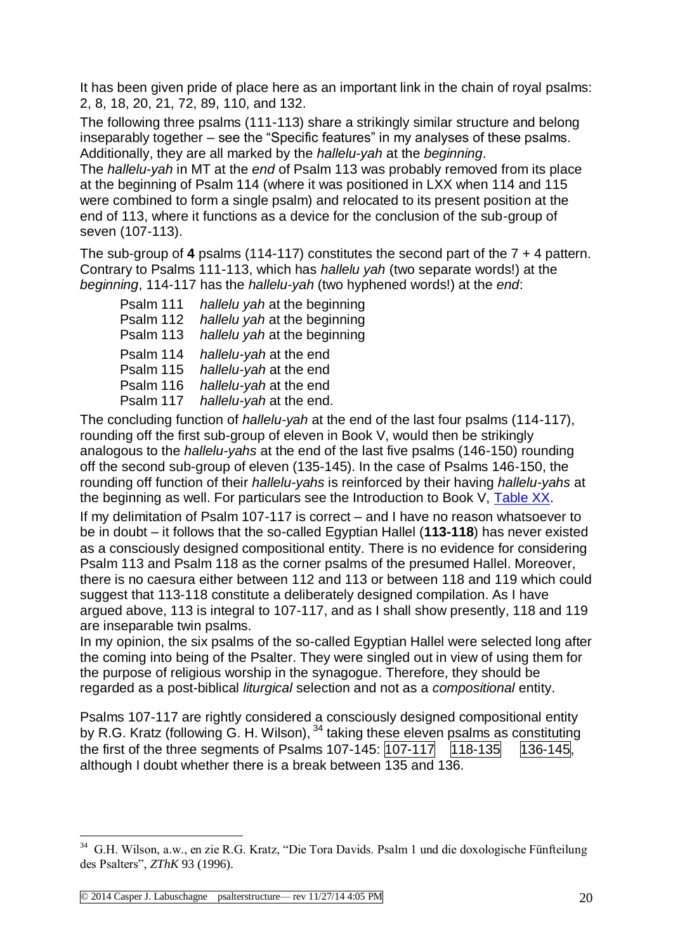It has been given pride of place here as an important link in the chain of royal psalms: 2, 8, 18, 20, 21, 72, 89, 110, and 132.

The following three psalms (111-113) share a strikingly similar structure and belong inseparably together – see the "Specific features" in my analyses of these psalms. Additionally, they are all marked by the *hallelu-yah* at the *beginning*.

The *hallelu-yah* in MT at the *end* of Psalm 113 was probably removed from its place at the beginning of Psalm 114 (where it was positioned in LXX when 114 and 115 were combined to form a single psalm) and relocated to its present position at the end of 113, where it functions as a device for the conclusion of the sub-group of seven (107-113).

The sub-group of **4** psalms (114-117) constitutes the second part of the 7 + 4 pattern. Contrary to Psalms 111-113, which has *hallelu yah* (two separate words!) at the *beginning*, 114-117 has the *hallelu-yah* (two hyphened words!) at the *end*:

| Psalm 111 | hallelu yah at the beginning |
|-----------|------------------------------|
| Psalm 112 | hallelu yah at the beginning |
| Psalm 113 | hallelu yah at the beginning |
| Psalm 114 | hallelu-yah at the end       |
| Psalm 115 | hallelu-yah at the end       |
| Psalm 116 | hallelu-yah at the end       |
| Psalm 117 | hallelu-yah at the end.      |

The concluding function of *hallelu-yah* at the end of the last four psalms (114-117), rounding off the first sub-group of eleven in Book V, would then be strikingly analogous to the *hallelu-yahs* at the end of the last five psalms (146-150) rounding off the second sub-group of eleven (135-145). In the case of Psalms 146-150, the rounding off function of their *hallelu-yahs* is reinforced by their having *hallelu-yahs* at the beginning as well. For particulars see the Introduction to Book V, [Table XX.](http://www.labuschagne.nl/intro5.pdf)

If my delimitation of Psalm 107-117 is correct – and I have no reason whatsoever to be in doubt – it follows that the so-called Egyptian Hallel (**113-118**) has never existed as a consciously designed compositional entity. There is no evidence for considering Psalm 113 and Psalm 118 as the corner psalms of the presumed Hallel. Moreover, there is no caesura either between 112 and 113 or between 118 and 119 which could suggest that 113-118 constitute a deliberately designed compilation. As I have argued above, 113 is integral to 107-117, and as I shall show presently, 118 and 119 are inseparable twin psalms.

In my opinion, the six psalms of the so-called Egyptian Hallel were selected long after the coming into being of the Psalter. They were singled out in view of using them for the purpose of religious worship in the synagogue. Therefore, they should be regarded as a post-biblical *liturgical* selection and not as a *compositional* entity.

Psalms 107-117 are rightly considered a consciously designed compositional entity by R.G. Kratz (following G. H. Wilson), <sup>34</sup> taking these eleven psalms as constituting the first of the three segments of Psalms 107-145:  $\overline{107-117}$   $\overline{118-135}$   $\overline{136-145}$ . although I doubt whether there is a break between 135 and 136.

 34 G.H. Wilson, a.w., en zie R.G. Kratz, "Die Tora Davids. Psalm 1 und die doxologische Fünfteilung des Psalters", *ZThK* 93 (1996).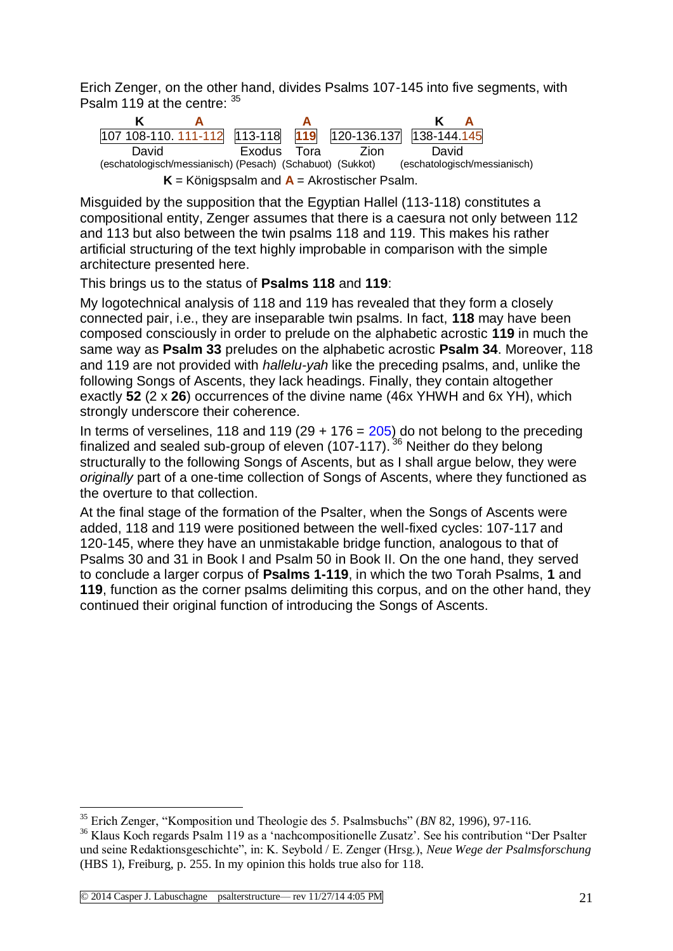Erich Zenger, on the other hand, divides Psalms 107-145 into five segments, with Psalm 119 at the centre:  $35$ 



Misguided by the supposition that the Egyptian Hallel (113-118) constitutes a compositional entity, Zenger assumes that there is a caesura not only between 112 and 113 but also between the twin psalms 118 and 119. This makes his rather artificial structuring of the text highly improbable in comparison with the simple architecture presented here.

This brings us to the status of **Psalms 118** and **119**:

My logotechnical analysis of 118 and 119 has revealed that they form a closely connected pair, i.e., they are inseparable twin psalms. In fact, **118** may have been composed consciously in order to prelude on the alphabetic acrostic **119** in much the same way as **Psalm 33** preludes on the alphabetic acrostic **Psalm 34**. Moreover, 118 and 119 are not provided with *hallelu-yah* like the preceding psalms, and, unlike the following Songs of Ascents, they lack headings. Finally, they contain altogether exactly **52** (2 x **26**) occurrences of the divine name (46x YHWH and 6x YH), which strongly underscore their coherence.

In terms of verselines, 118 and 119 (29  $+$  176 = 205) do not belong to the preceding finalized and sealed sub-group of eleven (107-117).  $36$  Neither do they belong structurally to the following Songs of Ascents, but as I shall argue below, they were *originally* part of a one-time collection of Songs of Ascents, where they functioned as the overture to that collection.

At the final stage of the formation of the Psalter, when the Songs of Ascents were added, 118 and 119 were positioned between the well-fixed cycles: 107-117 and 120-145, where they have an unmistakable bridge function, analogous to that of Psalms 30 and 31 in Book I and Psalm 50 in Book II. On the one hand, they served to conclude a larger corpus of **Psalms 1-119**, in which the two Torah Psalms, **1** and **119**, function as the corner psalms delimiting this corpus, and on the other hand, they continued their original function of introducing the Songs of Ascents.

1

<sup>35</sup> Erich Zenger, "Komposition und Theologie des 5. Psalmsbuchs" (*BN* 82, 1996), 97-116.

<sup>36</sup> Klaus Koch regards Psalm 119 as a 'nachcompositionelle Zusatz'. See his contribution "Der Psalter und seine Redaktionsgeschichte", in: K. Seybold / E. Zenger (Hrsg.), *Neue Wege der Psalmsforschung*  (HBS 1), Freiburg, p. 255. In my opinion this holds true also for 118.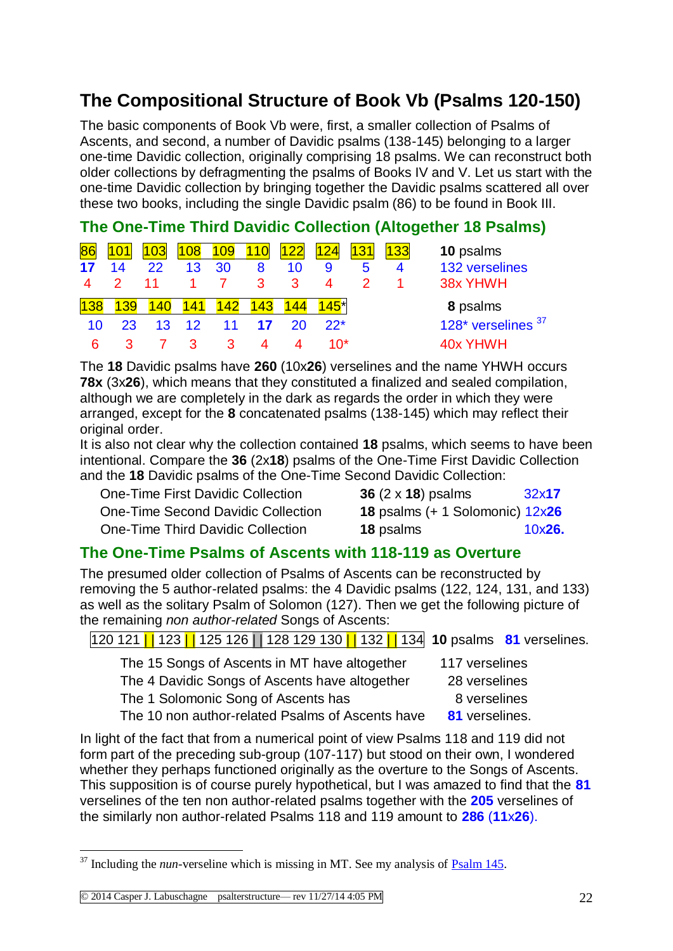# **The Compositional Structure of Book Vb (Psalms 120-150)**

The basic components of Book Vb were, first, a smaller collection of Psalms of Ascents, and second, a number of Davidic psalms (138-145) belonging to a larger one-time Davidic collection, originally comprising 18 psalms. We can reconstruct both older collections by defragmenting the psalms of Books IV and V. Let us start with the one-time Davidic collection by bringing together the Davidic psalms scattered all over these two books, including the single Davidic psalm (86) to be found in Book III.

### **The One-Time Third Davidic Collection (Altogether 18 Psalms)**

| 86    |    |                 | 108 | <b>109</b> | <b>110</b> |     | 24    |   | 133 | 10 psalms          |
|-------|----|-----------------|-----|------------|------------|-----|-------|---|-----|--------------------|
| 17    | 14 | 22              | 13  | 30         | 8          | 10  |       | 5 |     | 132 verselines     |
|       |    |                 |     |            | 3          | 3   | 4     |   |     | 38x YHWH           |
| l 138 | 39 | $-40$           | 141 |            | 43         |     | .45*  |   |     | 8 psalms           |
| 10    | 23 | 13 <sup>1</sup> | 12  | 11         |            | 20. | $22*$ |   |     | 128* verselines 37 |
|       |    |                 |     |            |            |     |       |   |     |                    |

The **18** Davidic psalms have **260** (10x**26**) verselines and the name YHWH occurs **78x** (3x**26**), which means that they constituted a finalized and sealed compilation, although we are completely in the dark as regards the order in which they were arranged, except for the **8** concatenated psalms (138-145) which may reflect their original order.

It is also not clear why the collection contained **18** psalms, which seems to have been intentional. Compare the **36** (2x**18**) psalms of the One-Time First Davidic Collection and the **18** Davidic psalms of the One-Time Second Davidic Collection:

**One-Time First Davidic Collection One-Time Second Davidic Collection One-Time Third Davidic Collection** 

| 36 (2 x 18) psalms                     | 32x17  |
|----------------------------------------|--------|
| <b>18</b> psalms (+ 1 Solomonic) 12x26 |        |
| <b>18</b> psalms                       | 10x26. |

### **The One-Time Psalms of Ascents with 118-119 as Overture**

The presumed older collection of Psalms of Ascents can be reconstructed by removing the 5 author-related psalms: the 4 Davidic psalms (122, 124, 131, and 133) as well as the solitary Psalm of Solomon (127). Then we get the following picture of the remaining *non author-related* Songs of Ascents:

| 120 121   123   125 126   128 129 130   132   134 10 psalms 81 verselines. |                |  |  |  |  |  |  |  |
|----------------------------------------------------------------------------|----------------|--|--|--|--|--|--|--|
| The 15 Songs of Ascents in MT have altogether<br>117 verselines            |                |  |  |  |  |  |  |  |
| The 4 Davidic Songs of Ascents have altogether<br>28 verselines            |                |  |  |  |  |  |  |  |
| The 1 Solomonic Song of Ascents has<br>8 verselines                        |                |  |  |  |  |  |  |  |
| The 10 non author-related Psalms of Ascents have                           | 81 verselines. |  |  |  |  |  |  |  |

In light of the fact that from a numerical point of view Psalms 118 and 119 did not form part of the preceding sub-group (107-117) but stood on their own, I wondered whether they perhaps functioned originally as the overture to the Songs of Ascents. This supposition is of course purely hypothetical, but I was amazed to find that the **81** verselines of the ten non author-related psalms together with the **205** verselines of the similarly non author-related Psalms 118 and 119 amount to **286** (**11**x**26**).

 $37$  Including the *nun*-verseline which is missing in MT. See my analysis of  $\frac{Psalm}{145}$ .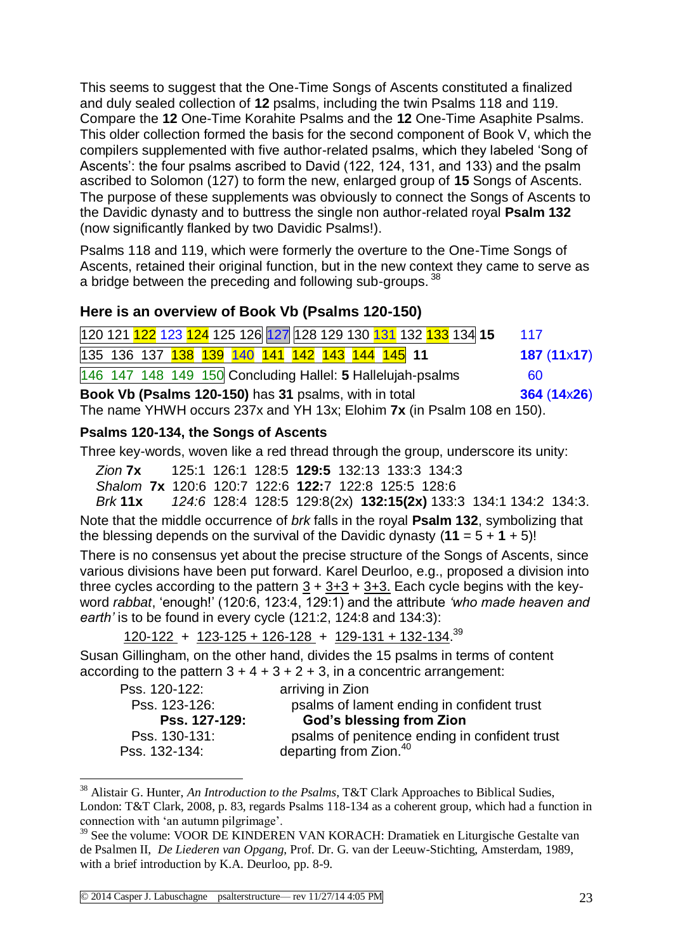This seems to suggest that the One-Time Songs of Ascents constituted a finalized and duly sealed collection of **12** psalms, including the twin Psalms 118 and 119. Compare the **12** One-Time Korahite Psalms and the **12** One-Time Asaphite Psalms. This older collection formed the basis for the second component of Book V, which the compilers supplemented with five author-related psalms, which they labeled 'Song of Ascents': the four psalms ascribed to David (122, 124, 131, and 133) and the psalm ascribed to Solomon (127) to form the new, enlarged group of **15** Songs of Ascents. The purpose of these supplements was obviously to connect the Songs of Ascents to the Davidic dynasty and to buttress the single non author-related royal **Psalm 132** (now significantly flanked by two Davidic Psalms!).

Psalms 118 and 119, which were formerly the overture to the One-Time Songs of Ascents, retained their original function, but in the new context they came to serve as a bridge between the preceding and following sub-groups. 38

### **Here is an overview of Book Vb (Psalms 120-150)**

|  |                                                              |  |  |  |  | 120 121 122 123 124 125 126 127 128 129 130 131 132 133 134 15         | 117         |
|--|--------------------------------------------------------------|--|--|--|--|------------------------------------------------------------------------|-------------|
|  | 135 136 137 138 139 140 141 142 143 144 145 11               |  |  |  |  |                                                                        | 187(11x17)  |
|  | $146$ 147 148 149 150 Concluding Hallel: 5 Hallelujah-psalms |  |  |  |  |                                                                        | 60          |
|  | Book Vb (Psalms 120-150) has 31 psalms, with in total        |  |  |  |  |                                                                        | 364 (14x26) |
|  |                                                              |  |  |  |  | The name YHWH occurs 237x and YH 13x; Elohim 7x (in Psalm 108 en 150). |             |

#### **Psalms 120-134, the Songs of Ascents**

Three key-words, woven like a red thread through the group, underscore its unity:

*Zion* **7x** 125:1 126:1 128:5 **129:5** 132:13 133:3 134:3

*Shalom* **7x** 120:6 120:7 122:6 **122:**7 122:8 125:5 128:6

*Brk* **11x** *124:6* 128:4 128:5 129:8(2x) **132:15(2x)** 133:3 134:1 134:2 134:3. Note that the middle occurrence of *brk* falls in the royal **Psalm 132**, symbolizing that the blessing depends on the survival of the Davidic dynasty  $(11 = 5 + 1 + 5)!$ 

There is no consensus yet about the precise structure of the Songs of Ascents, since various divisions have been put forward. Karel Deurloo, e.g., proposed a division into three cycles according to the pattern  $3 + 3 + 3 + 3 + 3$ . Each cycle begins with the keyword *rabbat*, 'enough!' (120:6, 123:4, 129:1) and the attribute *'who made heaven and earth'* is to be found in every cycle (121:2, 124:8 and 134:3):

120-122 + 123-125 + 126-128 + 129-131 + 132-134.<sup>39</sup>

Susan Gillingham, on the other hand, divides the 15 psalms in terms of content according to the pattern  $3 + 4 + 3 + 2 + 3$ , in a concentric arrangement:

| Pss. 120-122: | arriving in Zion                              |
|---------------|-----------------------------------------------|
| Pss. 123-126: | psalms of lament ending in confident trust    |
| Pss. 127-129: | <b>God's blessing from Zion</b>               |
| Pss. 130-131: | psalms of penitence ending in confident trust |
| Pss. 132-134: | departing from Zion. <sup>40</sup>            |

<sup>38</sup> Alistair G. Hunter, *An Introduction to the Psalms*, T&T Clark Approaches to Biblical Sudies, London: T&T Clark, 2008, p. 83, regards Psalms 118-134 as a coherent group, which had a function in connection with 'an autumn pilgrimage'.

<sup>&</sup>lt;sup>39</sup> See the volume: VOOR DE KINDEREN VAN KORACH: Dramatiek en Liturgische Gestalte van de Psalmen II, *De Liederen van Opgang*, Prof. Dr. G. van der Leeuw-Stichting, Amsterdam, 1989, with a brief introduction by K.A. Deurloo, pp. 8-9.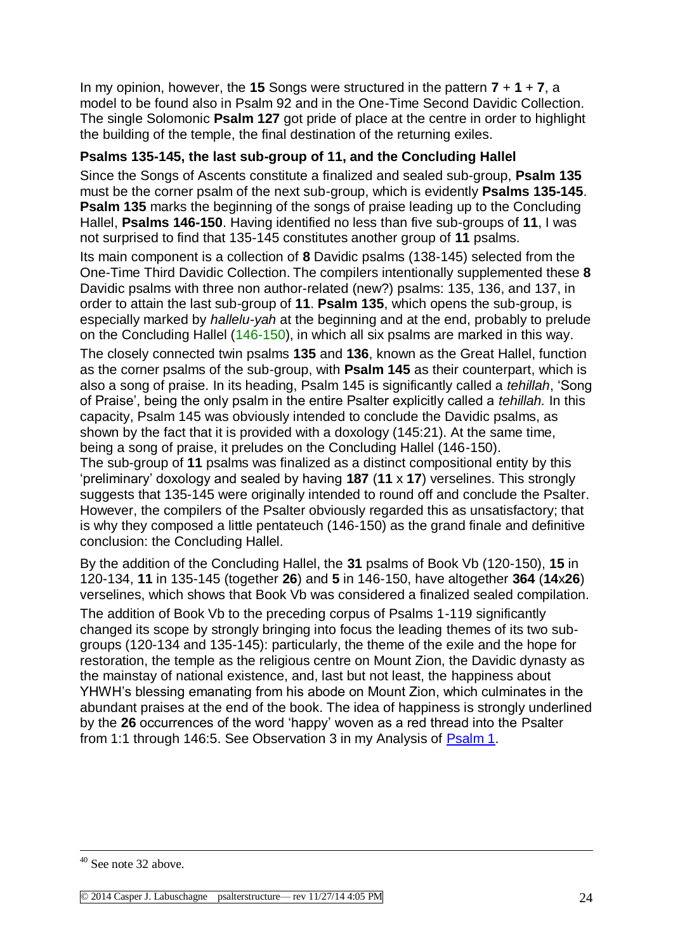In my opinion, however, the **15** Songs were structured in the pattern **7** + **1** + **7**, a model to be found also in Psalm 92 and in the One-Time Second Davidic Collection. The single Solomonic **Psalm 127** got pride of place at the centre in order to highlight the building of the temple, the final destination of the returning exiles.

#### **Psalms 135-145, the last sub-group of 11, and the Concluding Hallel**

Since the Songs of Ascents constitute a finalized and sealed sub-group, **Psalm 135** must be the corner psalm of the next sub-group, which is evidently **Psalms 135-145**. **Psalm 135** marks the beginning of the songs of praise leading up to the Concluding Hallel, **Psalms 146-150**. Having identified no less than five sub-groups of **11**, I was not surprised to find that 135-145 constitutes another group of **11** psalms.

Its main component is a collection of **8** Davidic psalms (138-145) selected from the One-Time Third Davidic Collection. The compilers intentionally supplemented these **8** Davidic psalms with three non author-related (new?) psalms: 135, 136, and 137, in order to attain the last sub-group of **11**. **Psalm 135**, which opens the sub-group, is especially marked by *hallelu-yah* at the beginning and at the end, probably to prelude on the Concluding Hallel (146-150), in which all six psalms are marked in this way.

The closely connected twin psalms **135** and **136**, known as the Great Hallel, function as the corner psalms of the sub-group, with **Psalm 145** as their counterpart, which is also a song of praise. In its heading, Psalm 145 is significantly called a *tehillah*, 'Song of Praise', being the only psalm in the entire Psalter explicitly called a *tehillah.* In this capacity, Psalm 145 was obviously intended to conclude the Davidic psalms, as shown by the fact that it is provided with a doxology (145:21). At the same time, being a song of praise, it preludes on the Concluding Hallel (146-150).

The sub-group of **11** psalms was finalized as a distinct compositional entity by this 'preliminary' doxology and sealed by having **187** (**11** x **17**) verselines. This strongly suggests that 135-145 were originally intended to round off and conclude the Psalter. However, the compilers of the Psalter obviously regarded this as unsatisfactory; that is why they composed a little pentateuch (146-150) as the grand finale and definitive conclusion: the Concluding Hallel.

By the addition of the Concluding Hallel, the **31** psalms of Book Vb (120-150), **15** in 120-134, **11** in 135-145 (together **26**) and **5** in 146-150, have altogether **364** (**14**x**26**) verselines, which shows that Book Vb was considered a finalized sealed compilation.

The addition of Book Vb to the preceding corpus of Psalms 1-119 significantly changed its scope by strongly bringing into focus the leading themes of its two subgroups (120-134 and 135-145): particularly, the theme of the exile and the hope for restoration, the temple as the religious centre on Mount Zion, the Davidic dynasty as the mainstay of national existence, and, last but not least, the happiness about YHWH's blessing emanating from his abode on Mount Zion, which culminates in the abundant praises at the end of the book. The idea of happiness is strongly underlined by the **26** occurrences of the word 'happy' woven as a red thread into the Psalter from 1:1 through 146:5. See Observation 3 in my Analysis of [Psalm 1.](http://www.labuschagne.nl/ps001.pdf)

<sup>&</sup>lt;sup>40</sup> See note 32 above.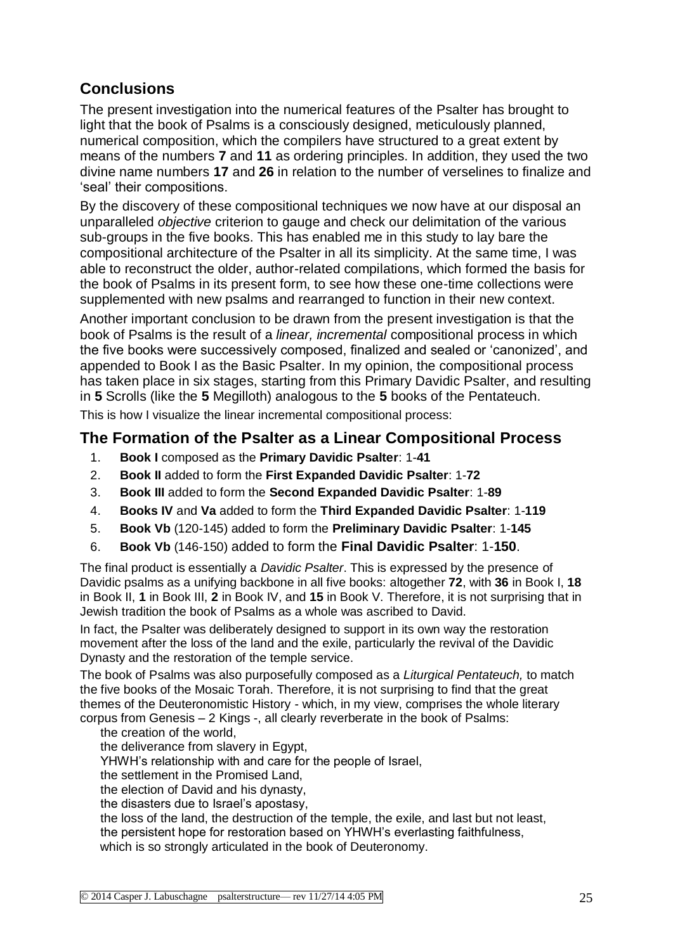## **Conclusions**

The present investigation into the numerical features of the Psalter has brought to light that the book of Psalms is a consciously designed, meticulously planned, numerical composition, which the compilers have structured to a great extent by means of the numbers **7** and **11** as ordering principles. In addition, they used the two divine name numbers **17** and **26** in relation to the number of verselines to finalize and 'seal' their compositions.

By the discovery of these compositional techniques we now have at our disposal an unparalleled *objective* criterion to gauge and check our delimitation of the various sub-groups in the five books. This has enabled me in this study to lay bare the compositional architecture of the Psalter in all its simplicity. At the same time, I was able to reconstruct the older, author-related compilations, which formed the basis for the book of Psalms in its present form, to see how these one-time collections were supplemented with new psalms and rearranged to function in their new context.

Another important conclusion to be drawn from the present investigation is that the book of Psalms is the result of a *linear, incremental* compositional process in which the five books were successively composed, finalized and sealed or 'canonized', and appended to Book I as the Basic Psalter. In my opinion, the compositional process has taken place in six stages, starting from this Primary Davidic Psalter, and resulting in **5** Scrolls (like the **5** Megilloth) analogous to the **5** books of the Pentateuch. This is how I visualize the linear incremental compositional process:

### **The Formation of the Psalter as a Linear Compositional Process**

- 1. **Book I** composed as the **Primary Davidic Psalter**: 1-**41**
- 2. **Book II** added to form the **First Expanded Davidic Psalter**: 1-**72**
- 3. **Book III** added to form the **Second Expanded Davidic Psalter**: 1-**89**
- 4. **Books IV** and **Va** added to form the **Third Expanded Davidic Psalter**: 1-**119**
- 5. **Book Vb** (120-145) added to form the **Preliminary Davidic Psalter**: 1-**145**
- 6. **Book Vb** (146-150) added to form the **Final Davidic Psalter**: 1-**150**.

The final product is essentially a *Davidic Psalter*. This is expressed by the presence of Davidic psalms as a unifying backbone in all five books: altogether **72**, with **36** in Book I, **18** in Book II, **1** in Book III, **2** in Book IV, and **15** in Book V. Therefore, it is not surprising that in Jewish tradition the book of Psalms as a whole was ascribed to David.

In fact, the Psalter was deliberately designed to support in its own way the restoration movement after the loss of the land and the exile, particularly the revival of the Davidic Dynasty and the restoration of the temple service.

The book of Psalms was also purposefully composed as a *Liturgical Pentateuch,* to match the five books of the Mosaic Torah. Therefore, it is not surprising to find that the great themes of the Deuteronomistic History - which, in my view, comprises the whole literary corpus from Genesis – 2 Kings -, all clearly reverberate in the book of Psalms:

the creation of the world,

the deliverance from slavery in Egypt,

YHWH's relationship with and care for the people of Israel,

the settlement in the Promised Land,

the election of David and his dynasty,

the disasters due to Israel's apostasy,

the loss of the land, the destruction of the temple, the exile, and last but not least, the persistent hope for restoration based on YHWH's everlasting faithfulness, which is so strongly articulated in the book of Deuteronomy.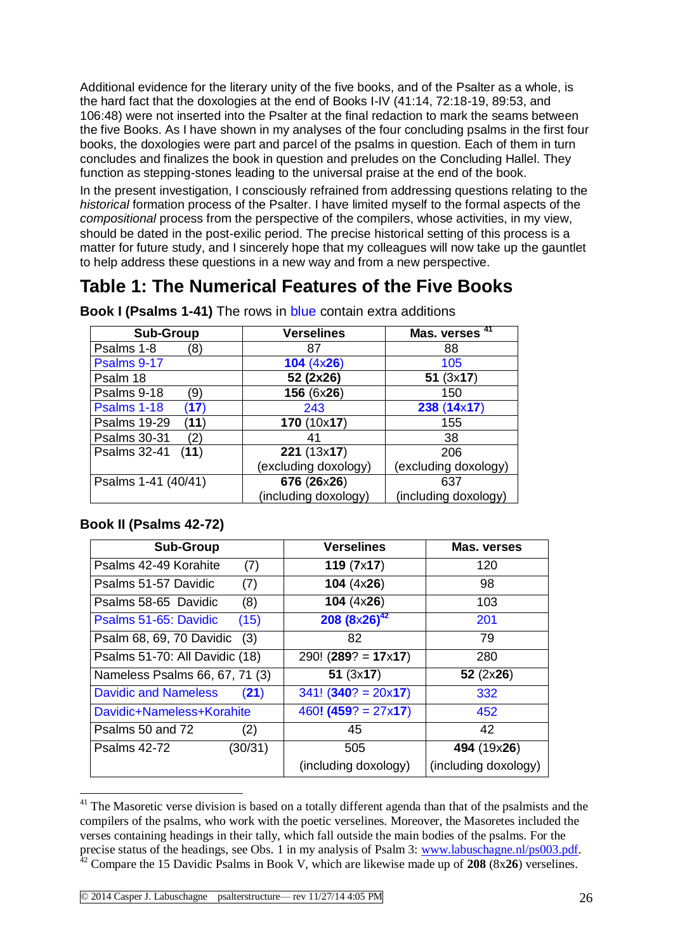Additional evidence for the literary unity of the five books, and of the Psalter as a whole, is the hard fact that the doxologies at the end of Books I-IV (41:14, 72:18-19, 89:53, and 106:48) were not inserted into the Psalter at the final redaction to mark the seams between the five Books. As I have shown in my analyses of the four concluding psalms in the first four books, the doxologies were part and parcel of the psalms in question. Each of them in turn concludes and finalizes the book in question and preludes on the Concluding Hallel. They function as stepping-stones leading to the universal praise at the end of the book.

In the present investigation, I consciously refrained from addressing questions relating to the *historical* formation process of the Psalter. I have limited myself to the formal aspects of the *compositional* process from the perspective of the compilers, whose activities, in my view, should be dated in the post-exilic period. The precise historical setting of this process is a matter for future study, and I sincerely hope that my colleagues will now take up the gauntlet to help address these questions in a new way and from a new perspective.

# **Table 1: The Numerical Features of the Five Books**

| <b>Sub-Group</b>            | <b>Verselines</b>    | -41<br>Mas. verses   |
|-----------------------------|----------------------|----------------------|
| Psalms 1-8<br>(8)           | 87                   | 88                   |
| Psalms 9-17                 | 104 (4x26)           | 105                  |
| Psalm 18                    | 52 (2x26)            | 51(3x17)             |
| Psalms 9-18<br>(9           | 156 (6x26)           | 150                  |
| Psalms 1-18<br>(17)         | 243                  | 238 (14x17)          |
| <b>Psalms 19-29</b><br>(11) | 170 (10x17)          | 155                  |
| <b>Psalms 30-31</b><br>(2)  | 41                   | 38                   |
| <b>Psalms 32-41</b><br>(11) | 221 (13x17)          | 206                  |
|                             | (excluding doxology) | (excluding doxology) |
| Psalms 1-41 (40/41)         | 676 (26x26)          | 637                  |
|                             | (including doxology) | (including doxology) |

**Book I (Psalms 1-41)** The rows in blue contain extra additions

#### **Book II (Psalms 42-72)**

| <b>Sub-Group</b>                    | <b>Verselines</b>        | Mas. verses          |
|-------------------------------------|--------------------------|----------------------|
| Psalms 42-49 Korahite<br>(7)        | 119(7x17)                | 120                  |
| (7)<br>Psalms 51-57 Davidic         | 104 $(4x26)$             | 98                   |
| (8)<br>Psalms 58-65 Davidic         | 104 $(4x26)$             | 103                  |
| (15)<br>Psalms 51-65: Davidic       | $208 (8 \times 26)^{42}$ | 201                  |
| Psalm 68, 69, 70 Davidic<br>(3)     | 82                       | 79                   |
| Psalms 51-70: All Davidic (18)      | $290! (289? = 17x17)$    | 280                  |
| Nameless Psalms 66, 67, 71 (3)      | 51(3x17)                 | 52(2x26)             |
| <b>Davidic and Nameless</b><br>(21) | $341! (340? = 20x17)$    | 332                  |
| Davidic+Nameless+Korahite           | $460! (459? = 27x17)$    | 452                  |
| Psalms 50 and 72<br>(2)             | 45                       | 42                   |
| (30/31)<br><b>Psalms 42-72</b>      | 505                      | 494 (19x26)          |
|                                     | (including doxology)     | (including doxology) |

<sup>&</sup>lt;u>.</u> <sup>41</sup> The Masoretic verse division is based on a totally different agenda than that of the psalmists and the compilers of the psalms, who work with the poetic verselines. Moreover, the Masoretes included the verses containing headings in their tally, which fall outside the main bodies of the psalms. For the precise status of the headings, see Obs. 1 in my analysis of Psalm 3: [www.labuschagne.nl/ps003.pdf.](http://www.labuschagne.nl/ps003.pdf)

<sup>42</sup> Compare the 15 Davidic Psalms in Book V, which are likewise made up of **208** (8x**26**) verselines.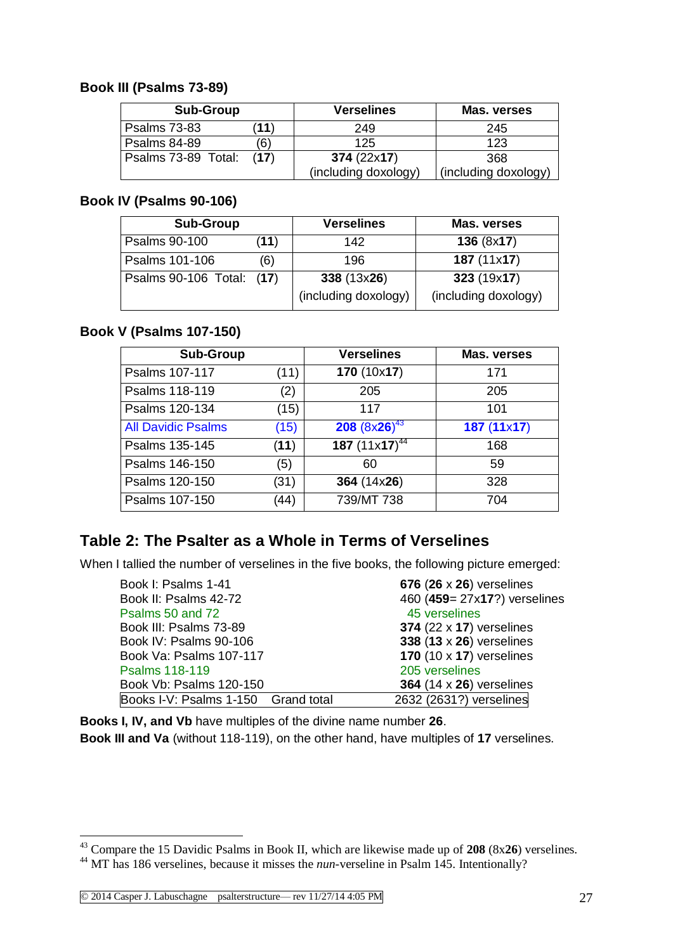#### **Book III (Psalms 73-89)**

| <b>Sub-Group</b>    |      | <b>Verselines</b>    | Mas. verses          |
|---------------------|------|----------------------|----------------------|
| <b>Psalms 73-83</b> | (11) | 249                  | 245                  |
| <b>Psalms 84-89</b> | '6)  | 125                  | 123                  |
| Psalms 73-89 Total: | (17) | 374(22x17)           | 368                  |
|                     |      | (including doxology) | (including doxology) |

#### **Book IV (Psalms 90-106)**

| <b>Sub-Group</b>          |      | <b>Verselines</b>                   | Mas. verses                        |
|---------------------------|------|-------------------------------------|------------------------------------|
| Psalms 90-100             | (11) | 142                                 | 136 (8x17)                         |
| Psalms 101-106            | (6)  | 196                                 | 187(11x17)                         |
| Psalms 90-106 Total: (17) |      | 338 (13x26)<br>(including doxology) | 323(19x17)<br>(including doxology) |

#### **Book V (Psalms 107-150)**

| <b>Sub-Group</b>          |      | <b>Verselines</b>  | Mas. verses |
|---------------------------|------|--------------------|-------------|
| Psalms 107-117            | (11) | 170(10x17)         | 171         |
| Psalms 118-119            | (2)  | 205                | 205         |
| Psalms 120-134            | (15) | 117                | 101         |
| <b>All Davidic Psalms</b> | (15) | 208 $(8x26)^{43}$  | 187(11x17)  |
| Psalms 135-145            | (11) | 187 $(11x17)^{44}$ | 168         |
| Psalms 146-150            | (5)  | 60                 | 59          |
| Psalms 120-150            | (31) | 364 (14x26)        | 328         |
| Psalms 107-150            | (44) | 739/MT 738         | 704         |

### **Table 2: The Psalter as a Whole in Terms of Verselines**

When I tallied the number of verselines in the five books, the following picture emerged:

| Book I: Psalms 1-41                 | 676 (26 $\times$ 26) verselines |
|-------------------------------------|---------------------------------|
| Book II: Psalms 42-72               | 460 (459= 27x17?) verselines    |
| Psalms 50 and 72                    | 45 verselines                   |
| Book III: Psalms 73-89              | 374 $(22 \times 17)$ verselines |
| Book IV: Psalms 90-106              | 338 $(13 \times 26)$ verselines |
| Book Va: Psalms 107-117             | 170 $(10 \times 17)$ verselines |
| Psalms 118-119                      | 205 verselines                  |
| Book Vb: Psalms 120-150             | 364 $(14 \times 26)$ verselines |
| Books I-V: Psalms 1-150 Grand total | 2632 (2631?) verselines         |

**Books I, IV, and Vb** have multiples of the divine name number **26**. **Book III and Va** (without 118-119), on the other hand, have multiples of **17** verselines.

<sup>43</sup> Compare the 15 Davidic Psalms in Book II, which are likewise made up of **208** (8x**26**) verselines. <sup>44</sup> MT has 186 verselines, because it misses the *nun*-verseline in Psalm 145. Intentionally?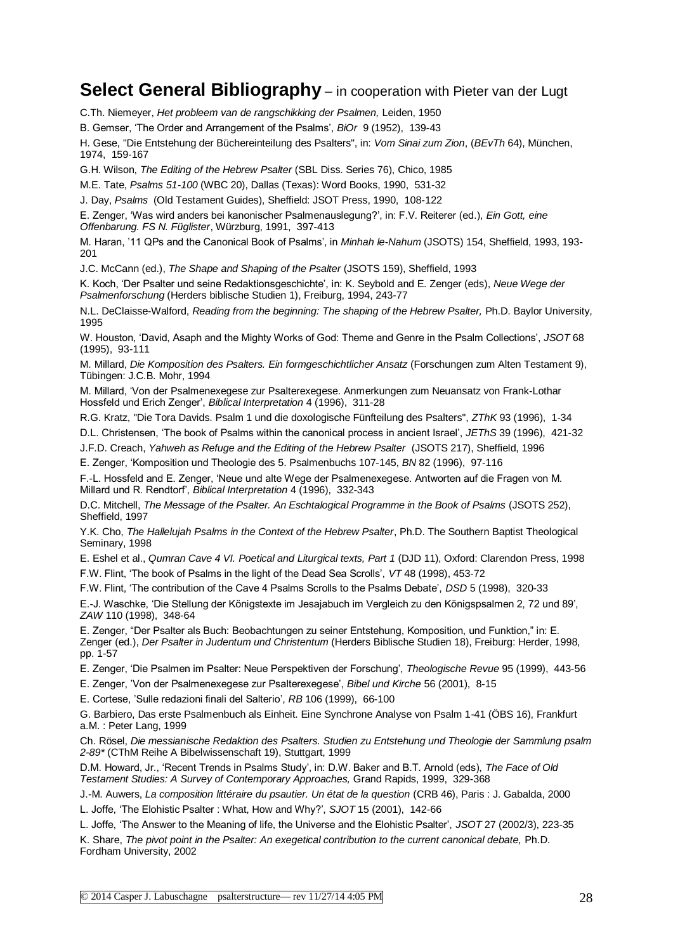### **Select General Bibliography** – in cooperation with Pieter van der Lugt

C.Th. Niemeyer, *Het probleem van de rangschikking der Psalmen,* Leiden, 1950

B. Gemser, 'The Order and Arrangement of the Psalms', *BiOr* 9 (1952), 139-43

H. Gese, "Die Entstehung der Büchereinteilung des Psalters", in: *Vom Sinai zum Zion*, (*BEvTh* 64), München, 1974, 159-167

G.H. Wilson, *The Editing of the Hebrew Psalter* (SBL Diss. Series 76), Chico, 1985

M.E. Tate, *Psalms 51-100* (WBC 20), Dallas (Texas): Word Books, 1990, 531-32

J. Day, *Psalms* (Old Testament Guides), Sheffield: JSOT Press, 1990, 108-122

E. Zenger, 'Was wird anders bei kanonischer Psalmenauslegung?', in: F.V. Reiterer (ed.), *Ein Gott, eine Offenbarung. FS N. Füglister*, Würzburg, 1991, 397-413

M. Haran, '11 QPs and the Canonical Book of Psalms', in *Minhah le-Nahum* (JSOTS) 154, Sheffield, 1993, 193- 201

J.C. McCann (ed.), *The Shape and Shaping of the Psalter* (JSOTS 159), Sheffield, 1993

K. Koch, 'Der Psalter und seine Redaktionsgeschichte', in: K. Seybold and E. Zenger (eds), *Neue Wege der Psalmenforschung* (Herders biblische Studien 1), Freiburg, 1994, 243-77

N.L. DeClaisse-Walford, *Reading from the beginning: The shaping of the Hebrew Psalter,* Ph.D. Baylor University, 1995

W. Houston, 'David, Asaph and the Mighty Works of God: Theme and Genre in the Psalm Collections', *JSOT* 68 (1995), 93-111

M. Millard, *Die Komposition des Psalters. Ein formgeschichtlicher Ansatz* (Forschungen zum Alten Testament 9), Tübingen: J.C.B. Mohr, 1994

M. Millard, 'Von der Psalmenexegese zur Psalterexegese. Anmerkungen zum Neuansatz von Frank-Lothar Hossfeld und Erich Zenger', *Biblical Interpretation* 4 (1996), 311-28

R.G. Kratz, "Die Tora Davids. Psalm 1 und die doxologische Fünfteilung des Psalters", *ZThK* 93 (1996), 1-34

D.L. Christensen, 'The book of Psalms within the canonical process in ancient Israel', *JEThS* 39 (1996), 421-32

J.F.D. Creach, *Yahweh as Refuge and the Editing of the Hebrew Psalter* (JSOTS 217), Sheffield, 1996

E. Zenger, 'Komposition und Theologie des 5. Psalmenbuchs 107-145, *BN* 82 (1996), 97-116

F.-L. Hossfeld and E. Zenger, 'Neue und alte Wege der Psalmenexegese. Antworten auf die Fragen von M. Millard und R. Rendtorf', *Biblical Interpretation* 4 (1996), 332-343

D.C. Mitchell, *The Message of the Psalter. An Eschtalogical Programme in the Book of Psalms* (JSOTS 252), Sheffield, 1997

Y.K. Cho, *The Hallelujah Psalms in the Context of the Hebrew Psalter*, Ph.D. The Southern Baptist Theological Seminary, 1998

E. Eshel et al., *Qumran Cave 4 VI. Poetical and Liturgical texts, Part 1* (DJD 11), Oxford: Clarendon Press, 1998 F.W. Flint, 'The book of Psalms in the light of the Dead Sea Scrolls', *VT* 48 (1998), 453-72

F.W. Flint, 'The contribution of the Cave 4 Psalms Scrolls to the Psalms Debate', *DSD* 5 (1998), 320-33

E.-J. Waschke, 'Die Stellung der Königstexte im Jesajabuch im Vergleich zu den Königspsalmen 2, 72 und 89', *ZAW* 110 (1998), 348-64

E. Zenger, "Der Psalter als Buch: Beobachtungen zu seiner Entstehung, Komposition, und Funktion," in: E. Zenger (ed.), *Der Psalter in Judentum und Christentum* (Herders Biblische Studien 18), Freiburg: Herder, 1998, pp. 1-57

E. Zenger, 'Die Psalmen im Psalter: Neue Perspektiven der Forschung', *Theologische Revue* 95 (1999), 443-56

E. Zenger, 'Von der Psalmenexegese zur Psalterexegese', *Bibel und Kirche* 56 (2001), 8-15

E. Cortese, 'Sulle redazioni finali del Salterio', *RB* 106 (1999), 66-100

G. Barbiero, Das erste Psalmenbuch als Einheit. Eine Synchrone Analyse von Psalm 1-41 (ÖBS 16), Frankfurt a.M. : Peter Lang, 1999

Ch. Rösel, *Die messianische Redaktion des Psalters. Studien zu Entstehung und Theologie der Sammlung psalm 2-89\** (CThM Reihe A Bibelwissenschaft 19), Stuttgart, 1999

D.M. Howard, Jr., 'Recent Trends in Psalms Study', in: D.W. Baker and B.T. Arnold (eds), *The Face of Old Testament Studies: A Survey of Contemporary Approaches,* Grand Rapids, 1999, 329-368

J.-M. Auwers, *La composition littéraire du psautier. Un état de la question* (CRB 46), Paris : J. Gabalda, 2000 L. Joffe, 'The Elohistic Psalter : What, How and Why?', *SJOT* 15 (2001), 142-66

L. Joffe, 'The Answer to the Meaning of life, the Universe and the Elohistic Psalter', *JSOT* 27 (2002/3), 223-35 K. Share, *The pivot point in the Psalter: An exegetical contribution to the current canonical debate*, Ph.D. Fordham University, 2002